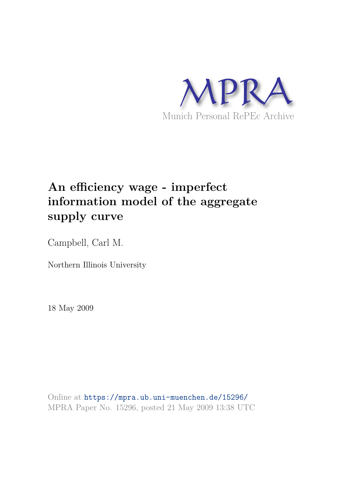

# **An efficiency wage - imperfect information model of the aggregate supply curve**

Campbell, Carl M.

Northern Illinois University

18 May 2009

Online at https://mpra.ub.uni-muenchen.de/15296/ MPRA Paper No. 15296, posted 21 May 2009 13:38 UTC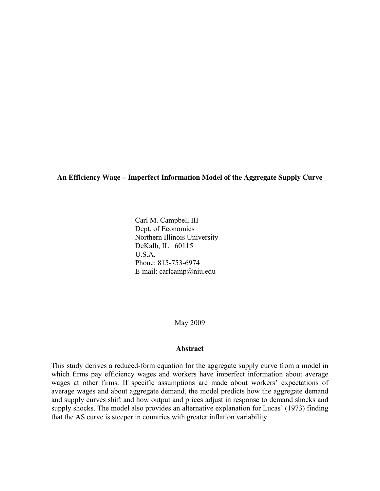**An Efficiency Wage – Imperfect Information Model of the Aggregate Supply Curve** 

Carl M. Campbell III Dept. of Economics Northern Illinois University DeKalb, IL 60115  $U.S.A$  Phone: 815-753-6974 E-mail: carlcamp@niu.edu

May 2009

#### **Abstract**

This study derives a reduced-form equation for the aggregate supply curve from a model in which firms pay efficiency wages and workers have imperfect information about average wages at other firms. If specific assumptions are made about workers' expectations of average wages and about aggregate demand, the model predicts how the aggregate demand and supply curves shift and how output and prices adjust in response to demand shocks and supply shocks. The model also provides an alternative explanation for Lucas' (1973) finding that the AS curve is steeper in countries with greater inflation variability.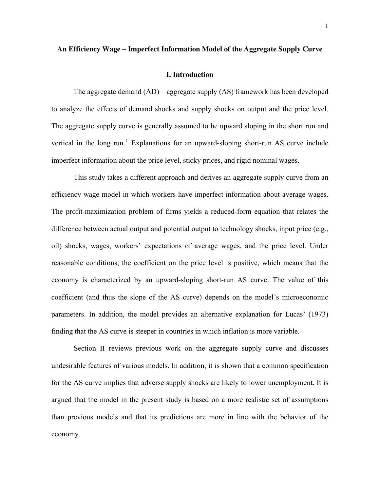#### **An Efficiency Wage – Imperfect Information Model of the Aggregate Supply Curve**

#### **I. Introduction**

 The aggregate demand (AD) – aggregate supply (AS) framework has been developed to analyze the effects of demand shocks and supply shocks on output and the price level. The aggregate supply curve is generally assumed to be upward sloping in the short run and vertical in the long run.<sup>[1](#page-40-0)</sup> Explanations for an upward-sloping short-run AS curve include imperfect information about the price level, sticky prices, and rigid nominal wages.

 This study takes a different approach and derives an aggregate supply curve from an efficiency wage model in which workers have imperfect information about average wages. The profit-maximization problem of firms yields a reduced-form equation that relates the difference between actual output and potential output to technology shocks, input price (e.g., oil) shocks, wages, workers' expectations of average wages, and the price level. Under reasonable conditions, the coefficient on the price level is positive, which means that the economy is characterized by an upward-sloping short-run AS curve. The value of this coefficient (and thus the slope of the AS curve) depends on the model's microeconomic parameters. In addition, the model provides an alternative explanation for Lucas' (1973) finding that the AS curve is steeper in countries in which inflation is more variable.

Section II reviews previous work on the aggregate supply curve and discusses undesirable features of various models. In addition, it is shown that a common specification for the AS curve implies that adverse supply shocks are likely to lower unemployment. It is argued that the model in the present study is based on a more realistic set of assumptions than previous models and that its predictions are more in line with the behavior of the economy.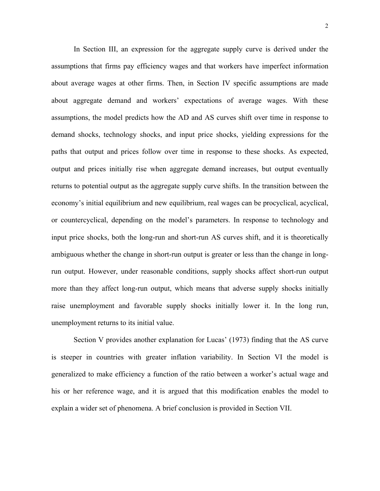In Section III, an expression for the aggregate supply curve is derived under the assumptions that firms pay efficiency wages and that workers have imperfect information about average wages at other firms. Then, in Section IV specific assumptions are made about aggregate demand and workers' expectations of average wages. With these assumptions, the model predicts how the AD and AS curves shift over time in response to demand shocks, technology shocks, and input price shocks, yielding expressions for the paths that output and prices follow over time in response to these shocks. As expected, output and prices initially rise when aggregate demand increases, but output eventually returns to potential output as the aggregate supply curve shifts. In the transition between the economy's initial equilibrium and new equilibrium, real wages can be procyclical, acyclical, or countercyclical, depending on the model's parameters. In response to technology and input price shocks, both the long-run and short-run AS curves shift, and it is theoretically ambiguous whether the change in short-run output is greater or less than the change in longrun output. However, under reasonable conditions, supply shocks affect short-run output more than they affect long-run output, which means that adverse supply shocks initially raise unemployment and favorable supply shocks initially lower it. In the long run, unemployment returns to its initial value.

Section V provides another explanation for Lucas' (1973) finding that the AS curve is steeper in countries with greater inflation variability. In Section VI the model is generalized to make efficiency a function of the ratio between a worker's actual wage and his or her reference wage, and it is argued that this modification enables the model to explain a wider set of phenomena. A brief conclusion is provided in Section VII.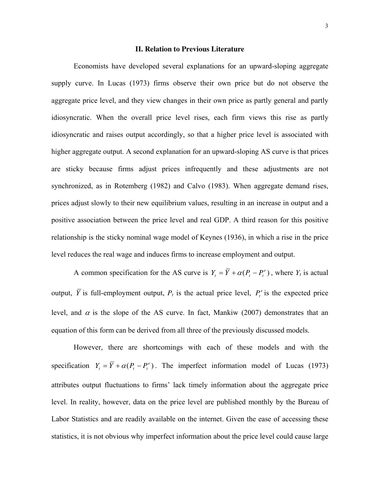#### **II. Relation to Previous Literature**

Economists have developed several explanations for an upward-sloping aggregate supply curve. In Lucas (1973) firms observe their own price but do not observe the aggregate price level, and they view changes in their own price as partly general and partly idiosyncratic. When the overall price level rises, each firm views this rise as partly idiosyncratic and raises output accordingly, so that a higher price level is associated with higher aggregate output. A second explanation for an upward-sloping AS curve is that prices are sticky because firms adjust prices infrequently and these adjustments are not synchronized, as in Rotemberg (1982) and Calvo (1983). When aggregate demand rises, prices adjust slowly to their new equilibrium values, resulting in an increase in output and a positive association between the price level and real GDP. A third reason for this positive relationship is the sticky nominal wage model of Keynes (1936), in which a rise in the price level reduces the real wage and induces firms to increase employment and output.

A common specification for the AS curve is  $Y_t = \overline{Y} + \alpha (P_t - P_t^e)$ , where  $Y_t$  is actual output,  $\overline{Y}$  is full-employment output,  $P_t$  is the actual price level,  $P_t^e$  is the expected price level, and  $\alpha$  is the slope of the AS curve. In fact, Mankiw (2007) demonstrates that an equation of this form can be derived from all three of the previously discussed models.

However, there are shortcomings with each of these models and with the specification  $Y_t = \overline{Y} + \alpha (P_t - P_t^e)$ . The imperfect information model of Lucas (1973) attributes output fluctuations to firms' lack timely information about the aggregate price level. In reality, however, data on the price level are published monthly by the Bureau of Labor Statistics and are readily available on the internet. Given the ease of accessing these statistics, it is not obvious why imperfect information about the price level could cause large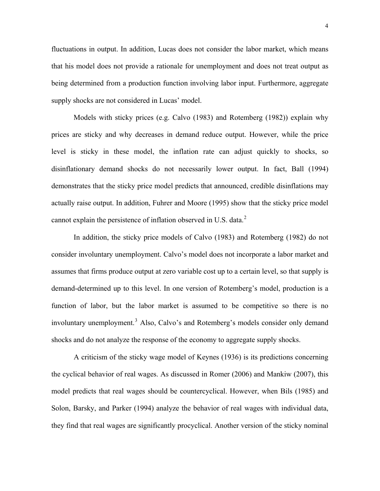fluctuations in output. In addition, Lucas does not consider the labor market, which means that his model does not provide a rationale for unemployment and does not treat output as being determined from a production function involving labor input. Furthermore, aggregate supply shocks are not considered in Lucas' model.

Models with sticky prices (e.g. Calvo (1983) and Rotemberg (1982)) explain why prices are sticky and why decreases in demand reduce output. However, while the price level is sticky in these model, the inflation rate can adjust quickly to shocks, so disinflationary demand shocks do not necessarily lower output. In fact, Ball (1994) demonstrates that the sticky price model predicts that announced, credible disinflations may actually raise output. In addition, Fuhrer and Moore (1995) show that the sticky price model cannot explain the persistence of inflation observed in U.S. data. $2$ 

In addition, the sticky price models of Calvo (1983) and Rotemberg (1982) do not consider involuntary unemployment. Calvo's model does not incorporate a labor market and assumes that firms produce output at zero variable cost up to a certain level, so that supply is demand-determined up to this level. In one version of Rotemberg's model, production is a function of labor, but the labor market is assumed to be competitive so there is no involuntary unemployment.<sup>[3](#page-40-1)</sup> Also, Calvo's and Rotemberg's models consider only demand shocks and do not analyze the response of the economy to aggregate supply shocks.

 A criticism of the sticky wage model of Keynes (1936) is its predictions concerning the cyclical behavior of real wages. As discussed in Romer (2006) and Mankiw (2007), this model predicts that real wages should be countercyclical. However, when Bils (1985) and Solon, Barsky, and Parker (1994) analyze the behavior of real wages with individual data, they find that real wages are significantly procyclical. Another version of the sticky nominal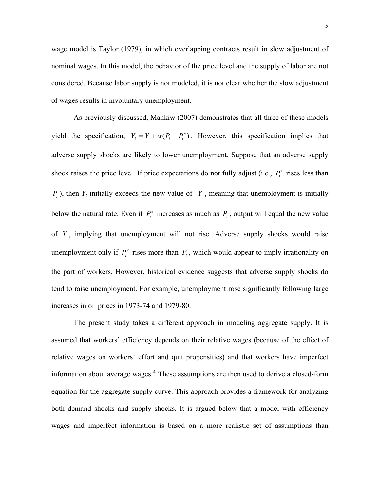wage model is Taylor (1979), in which overlapping contracts result in slow adjustment of nominal wages. In this model, the behavior of the price level and the supply of labor are not considered. Because labor supply is not modeled, it is not clear whether the slow adjustment of wages results in involuntary unemployment.

As previously discussed, Mankiw (2007) demonstrates that all three of these models yield the specification,  $Y_t = \overline{Y} + \alpha (P_t - P_t^e)$ . However, this specification implies that adverse supply shocks are likely to lower unemployment. Suppose that an adverse supply shock raises the price level. If price expectations do not fully adjust (i.e.,  $P_t^e$  rises less than  $P_t$ ), then  $Y_t$  initially exceeds the new value of Y, meaning that unemployment is initially below the natural rate. Even if  $P_t^e$  increases as much as  $P_t$ , output will equal the new value of *Y* , implying that unemployment will not rise. Adverse supply shocks would raise unemployment only if  $P_t^e$  rises more than  $P_t$ , which would appear to imply irrationality on the part of workers. However, historical evidence suggests that adverse supply shocks do tend to raise unemployment. For example, unemployment rose significantly following large increases in oil prices in 1973-74 and 1979-80.

 The present study takes a different approach in modeling aggregate supply. It is assumed that workers' efficiency depends on their relative wages (because of the effect of relative wages on workers' effort and quit propensities) and that workers have imperfect information about average wages.<sup>[4](#page-40-1)</sup> These assumptions are then used to derive a closed-form equation for the aggregate supply curve. This approach provides a framework for analyzing both demand shocks and supply shocks. It is argued below that a model with efficiency wages and imperfect information is based on a more realistic set of assumptions than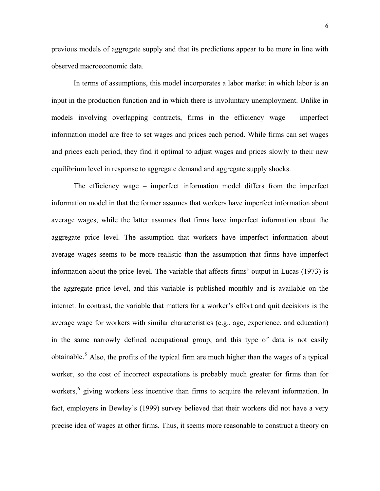previous models of aggregate supply and that its predictions appear to be more in line with observed macroeconomic data.

In terms of assumptions, this model incorporates a labor market in which labor is an input in the production function and in which there is involuntary unemployment. Unlike in models involving overlapping contracts, firms in the efficiency wage – imperfect information model are free to set wages and prices each period. While firms can set wages and prices each period, they find it optimal to adjust wages and prices slowly to their new equilibrium level in response to aggregate demand and aggregate supply shocks.

The efficiency wage – imperfect information model differs from the imperfect information model in that the former assumes that workers have imperfect information about average wages, while the latter assumes that firms have imperfect information about the aggregate price level. The assumption that workers have imperfect information about average wages seems to be more realistic than the assumption that firms have imperfect information about the price level. The variable that affects firms' output in Lucas (1973) is the aggregate price level, and this variable is published monthly and is available on the internet. In contrast, the variable that matters for a worker's effort and quit decisions is the average wage for workers with similar characteristics (e.g., age, experience, and education) in the same narrowly defined occupational group, and this type of data is not easily obtainable.<sup>[5](#page-40-1)</sup> Also, the profits of the typical firm are much higher than the wages of a typical worker, so the cost of incorrect expectations is probably much greater for firms than for workers,<sup>[6](#page-40-1)</sup> giving workers less incentive than firms to acquire the relevant information. In fact, employers in Bewley's (1999) survey believed that their workers did not have a very precise idea of wages at other firms. Thus, it seems more reasonable to construct a theory on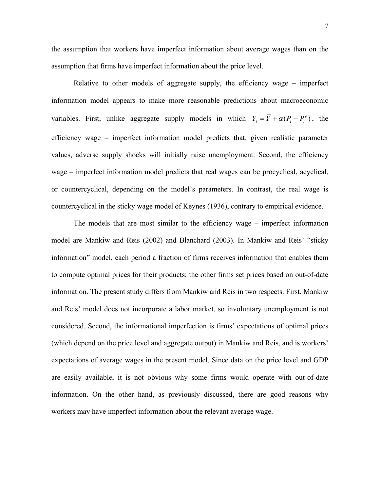the assumption that workers have imperfect information about average wages than on the assumption that firms have imperfect information about the price level.

Relative to other models of aggregate supply, the efficiency wage – imperfect information model appears to make more reasonable predictions about macroeconomic variables. First, unlike aggregate supply models in which  $Y_t = \overline{Y} + \alpha (P_t - P_t^e)$ , the efficiency wage – imperfect information model predicts that, given realistic parameter values, adverse supply shocks will initially raise unemployment. Second, the efficiency wage – imperfect information model predicts that real wages can be procyclical, acyclical, or countercyclical, depending on the model's parameters. In contrast, the real wage is countercyclical in the sticky wage model of Keynes (1936), contrary to empirical evidence.

 The models that are most similar to the efficiency wage – imperfect information model are Mankiw and Reis (2002) and Blanchard (2003). In Mankiw and Reis' "sticky information" model, each period a fraction of firms receives information that enables them to compute optimal prices for their products; the other firms set prices based on out-of-date information. The present study differs from Mankiw and Reis in two respects. First, Mankiw and Reis' model does not incorporate a labor market, so involuntary unemployment is not considered. Second, the informational imperfection is firms' expectations of optimal prices (which depend on the price level and aggregate output) in Mankiw and Reis, and is workers' expectations of average wages in the present model. Since data on the price level and GDP are easily available, it is not obvious why some firms would operate with out-of-date information. On the other hand, as previously discussed, there are good reasons why workers may have imperfect information about the relevant average wage.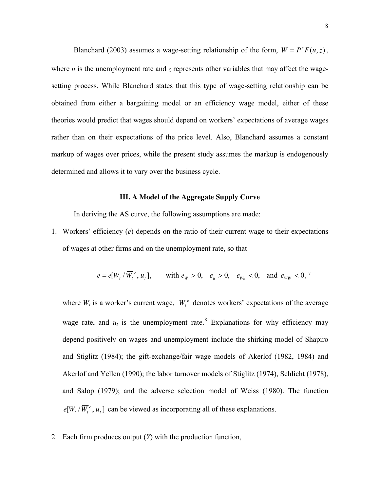Blanchard (2003) assumes a wage-setting relationship of the form,  $W = P^e F(u, z)$ , where  $u$  is the unemployment rate and  $z$  represents other variables that may affect the wagesetting process. While Blanchard states that this type of wage-setting relationship can be obtained from either a bargaining model or an efficiency wage model, either of these theories would predict that wages should depend on workers' expectations of average wages rather than on their expectations of the price level. Also, Blanchard assumes a constant markup of wages over prices, while the present study assumes the markup is endogenously determined and allows it to vary over the business cycle.

#### **III. A Model of the Aggregate Supply Curve**

In deriving the AS curve, the following assumptions are made:

1. Workers' efficiency (*e*) depends on the ratio of their current wage to their expectations of wages at other firms and on the unemployment rate, so that

$$
e = e[W_t / \overline{W}_t^e, u_t],
$$
 with  $e_w > 0$ ,  $e_u > 0$ ,  $e_{w_u} < 0$ , and  $e_{w_w} < 0$ ,

where  $W_t$  is a worker's current wage,  $\overline{W}_t^e$  denotes workers' expectations of the average wage rate, and  $u_t$  is the unemployment rate.<sup>[8](#page-40-1)</sup> Explanations for why efficiency may depend positively on wages and unemployment include the shirking model of Shapiro and Stiglitz (1984); the gift-exchange/fair wage models of Akerlof (1982, 1984) and Akerlof and Yellen (1990); the labor turnover models of Stiglitz (1974), Schlicht (1978), and Salop (1979); and the adverse selection model of Weiss (1980). The function  $e[W_t / \overline{W}_t^e, u_t]$  can be viewed as incorporating all of these explanations.

2. Each firm produces output (*Y*) with the production function,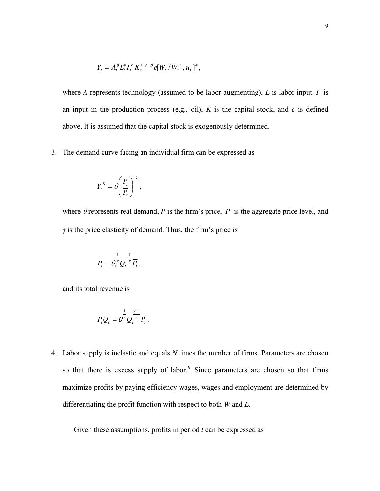$$
Y_{t} = A_{t}^{\phi} L_{t}^{\phi} I_{t}^{\beta} K_{t}^{1-\phi-\beta} e[W_{t}/\overline{W}_{t}^{e}, u_{t}]^{\phi},
$$

where *A* represents technology (assumed to be labor augmenting), *L* is labor input, *I* is an input in the production process (e.g., oil), *K* is the capital stock, and *e* is defined above. It is assumed that the capital stock is exogenously determined.

3. The demand curve facing an individual firm can be expressed as

$$
Y_t^D = \theta \left(\frac{P_t}{\overline{P_t}}\right)^{-\gamma},
$$

where  $\theta$  represents real demand,  $P$  is the firm's price,  $\overline{P}$  is the aggregate price level, and  $\gamma$  is the price elasticity of demand. Thus, the firm's price is

$$
P_t = \theta_t^{\frac{1}{\gamma}} Q_t^{-\frac{1}{\gamma}} \overline{P}_t,
$$

and its total revenue is

$$
P_t Q_t = \theta_t^{\frac{1}{\gamma}} Q_t^{\frac{\gamma-1}{\gamma}} \overline{P}_t.
$$

4. Labor supply is inelastic and equals *N* times the number of firms. Parameters are chosen so that there is excess supply of labor.<sup>[9](#page-40-1)</sup> Since parameters are chosen so that firms maximize profits by paying efficiency wages, wages and employment are determined by differentiating the profit function with respect to both *W* and *L*.

Given these assumptions, profits in period *t* can be expressed as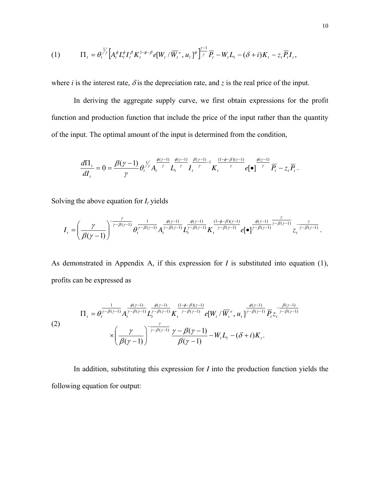$$
(1) \qquad \Pi_t = \theta_t^{\frac{1}{\gamma}} \Big[ A_t^{\phi} L_t^{\phi} I_t^{\beta} K_t^{1-\phi-\beta} e[W_t / \overline{W}_t^e, u_t]^{\phi} \Big]_{\gamma}^{\frac{\gamma-1}{\gamma}} \overline{P}_t - W_t L_t - (\delta + i) K_t - z_t \overline{P}_t I_t,
$$

where *i* is the interest rate,  $\delta$  is the depreciation rate, and *z* is the real price of the input.

In deriving the aggregate supply curve, we first obtain expressions for the profit function and production function that include the price of the input rather than the quantity of the input. The optimal amount of the input is determined from the condition,

$$
\frac{d\Pi_t}{dI_t} = 0 = \frac{\beta(\gamma - 1)}{\gamma} \theta_t^{\frac{1}{\gamma}} A_t^{\frac{\phi(\gamma - 1)}{\gamma}} L_t^{\frac{\phi(\gamma - 1)}{\gamma}} I_t^{\frac{\beta(\gamma - 1)}{\gamma}} K_t^{\frac{(1 - \phi - \beta)(\gamma - 1)}{\gamma}} e[\bullet]^{\frac{\phi(\gamma - 1)}{\gamma}} \overline{P}_t - z_t \overline{P}_t.
$$

Solving the above equation for  $I_t$  yields

$$
I_{t} = \left(\frac{\gamma}{\beta(\gamma-1)}\right)^{-\frac{\gamma}{\gamma-\beta(\gamma-1)}}\theta_{t}^{\frac{1}{\gamma-\beta(\gamma-1)}}A_{t}^{\frac{\phi(\gamma-1)}{\gamma-\beta(\gamma-1)}}L_{t}^{\frac{\phi(\gamma-1)}{\gamma-\beta(\gamma-1)}}K_{t}^{\frac{(1-\phi-\beta)(\gamma-1)}{\gamma-\beta(\gamma-1)}}e[\bullet]^{\frac{\phi(\gamma-1)}{\gamma-\beta(\gamma-1)}}z_{t}^{\frac{\gamma}{\gamma-\beta(\gamma-1)}}.
$$

As demonstrated in Appendix A, if this expression for *I* is substituted into equation (1), profits can be expressed as

(2)  
\n
$$
\Pi_{t} = \theta_{t}^{\frac{1}{\gamma-\beta(\gamma-1)}} A_{t}^{\frac{\phi(\gamma-1)}{\gamma-\beta(\gamma-1)}} L_{t}^{\frac{\phi(\gamma-1)}{\gamma-\beta(\gamma-1)}} K_{t}^{\frac{(1-\phi-\beta)(\gamma-1)}{\gamma-\beta(\gamma-1)}} e[W_{t} / \overline{W_{t}}^{e}, u_{t}]^{\frac{\phi(\gamma-1)}{\gamma-\beta(\gamma-1)}} \overline{P_{t}} z_{t}^{-\frac{\beta(\gamma-1)}{\gamma-\beta(\gamma-1)}}
$$
\n
$$
\times \left(\frac{\gamma}{\beta(\gamma-1)}\right)^{-\frac{\gamma}{\gamma-\beta(\gamma-1)}} \frac{\gamma-\beta(\gamma-1)}{\beta(\gamma-1)} - W_{t} L_{t} - (\delta + i) K_{t}.
$$

 In addition, substituting this expression for *I* into the production function yields the following equation for output: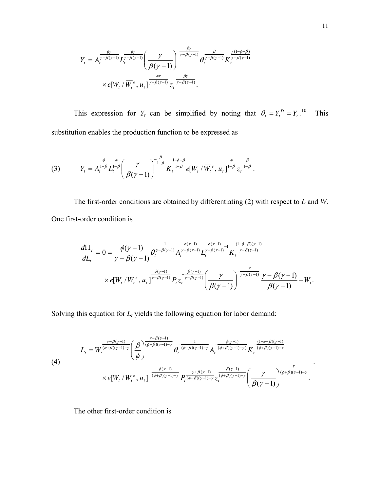$$
Y_t = A_t^{\frac{\phi \gamma}{\gamma - \beta(\gamma - 1)}} L_t^{\frac{\phi \gamma}{\gamma - \beta(\gamma - 1)}} \left( \frac{\gamma}{\beta(\gamma - 1)} \right)^{-\frac{\beta \gamma}{\gamma - \beta(\gamma - 1)}} \theta_t^{\frac{\beta}{\gamma - \beta(\gamma - 1)}} K_t^{\frac{\gamma(1 - \phi - \beta)}{\gamma - \beta(\gamma - 1)}}
$$
  
×  $e[W_t / \overline{W}_t^e, u_t]^{\frac{\phi \gamma}{\gamma - \beta(\gamma - 1)}} z_t^{-\frac{\beta \gamma}{\gamma - \beta(\gamma - 1)}}$ .

This expression for  $Y_t$  can be simplified by noting that  $\theta_t = Y_t^D = Y_t$ .  $\theta_t = Y_t^D = Y$ **This** substitution enables the production function to be expressed as

(3) 
$$
Y_{t} = A_{t}^{\frac{\phi}{1-\beta}} L_{t}^{\frac{\phi}{1-\beta}} \left( \frac{\gamma}{\beta(\gamma-1)} \right)^{-\frac{\beta}{1-\beta}} K_{t}^{\frac{1-\phi-\beta}{1-\beta}} e[W_{t}/\overline{W}_{t}^{e}, u_{t}]^{\frac{\phi}{1-\beta}} z_{t}^{-\frac{\beta}{1-\beta}}.
$$

 The first-order conditions are obtained by differentiating (2) with respect to *L* and *W*. One first-order condition is

$$
\frac{d\Pi_{t}}{dL_{t}} = 0 = \frac{\phi(\gamma - 1)}{\gamma - \beta(\gamma - 1)} \theta_{t}^{\frac{1}{\gamma - \beta(\gamma - 1)}} A_{t}^{\frac{\phi(\gamma - 1)}{\gamma - \beta(\gamma - 1)}} L_{t}^{\frac{\phi(\gamma - 1)}{\gamma - \beta(\gamma - 1)}} K_{t}^{\frac{(1 - \phi - \beta)(\gamma - 1)}{\gamma - \beta(\gamma - 1)}}
$$
  
×  $e[W_{t} / \overline{W}_{t}^{e}, u_{t}]^{\frac{\phi(\gamma - 1)}{\gamma - \beta(\gamma - 1)}} \overline{P}_{t} z_{t}^{-\frac{\beta(\gamma - 1)}{\gamma - \beta(\gamma - 1)}} \left(\frac{\gamma}{\beta(\gamma - 1)}\right)^{-\frac{\gamma}{\gamma - \beta(\gamma - 1)}} \frac{\gamma - \beta(\gamma - 1)}{\beta(\gamma - 1)} - W_{t}.$ 

Solving this equation for *Lt* yields the following equation for labor demand:

(4)  

$$
L_{t} = W_{t}^{\frac{\gamma-\beta(\gamma-1)}{(\phi+\beta)(\gamma-1)-\gamma}} \left(\frac{\beta}{\phi}\right)^{\frac{\gamma-\beta(\gamma-1)}{(\phi+\beta)(\gamma-1)-\gamma}} \theta_{t}^{-\frac{1}{(\phi+\beta)(\gamma-1)-\gamma}} A_{t}^{-\frac{\phi(\gamma-1)}{(\phi+\beta)(\gamma-1)-\gamma}} K_{t}^{-\frac{(1-\phi-\beta)(\gamma-1)}{(\phi+\beta)(\gamma-1)-\gamma}} \times e[W_{t}/\overline{W_{t}}^{e}, u_{t}]^{-\frac{\phi(\gamma-1)}{(\phi+\beta)(\gamma-1)-\gamma}} \overline{P_{t}^{\frac{-(\gamma+\beta(\gamma-1)}{(\phi+\beta)(\gamma-1)-\gamma}} z_{t}^{\frac{\beta(\gamma-1)}{(\phi+\beta)(\gamma-1)-\gamma}}} \left(\frac{\gamma}{\beta(\gamma-1)}\right)^{\frac{\gamma}{(\phi+\beta)(\gamma-1)-\gamma}}.
$$

The other first-order condition is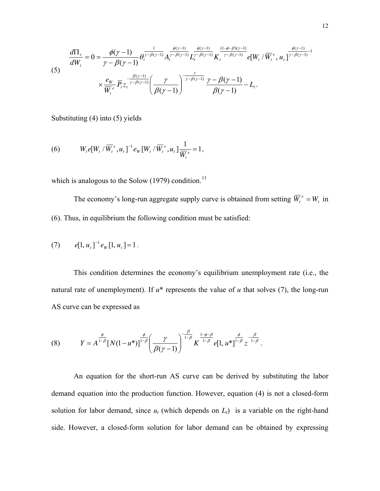(5)  

$$
\frac{d\Pi_t}{dW_t} = 0 = \frac{\phi(\gamma - 1)}{\gamma - \beta(\gamma - 1)} \theta_t^{\frac{1}{\gamma - \beta(\gamma - 1)}} A_t^{\frac{\phi(\gamma - 1)}{\gamma - \beta(\gamma - 1)}} L_t^{\frac{\phi(\gamma - 1)}{\gamma - \beta(\gamma - 1)}} K_t^{\frac{(1 - \phi - \beta)(\gamma - 1)}{\gamma - \beta(\gamma - 1)}} e[W_t / \overline{W}_t^e, u_t]^{\frac{\phi(\gamma - 1)}{\gamma - \beta(\gamma - 1)}} \times \frac{e_w}{\overline{W}_t^e} \overline{P}_t z_t^{\frac{-\beta(\gamma - 1)}{\gamma - \beta(\gamma - 1)}} \left(\frac{\gamma}{\beta(\gamma - 1)}\right)^{\frac{\gamma}{\gamma - \beta(\gamma - 1)}} \frac{\gamma - \beta(\gamma - 1)}{\beta(\gamma - 1)} - L_t.
$$

Substituting (4) into (5) yields

(6) 
$$
W_{t}e[W_{t}/\overline{W}_{t}^{e},u_{t}]^{-1}e_{W}[W_{t}/\overline{W}_{t}^{e},u_{t}]\frac{1}{\overline{W}_{t}^{e}}=1,
$$

which is analogous to the Solow  $(1979)$  condition.<sup>[11](#page-40-1)</sup>

The economy's long-run aggregate supply curve is obtained from setting  $\overline{W}_t^e = W_t$  in (6). Thus, in equilibrium the following condition must be satisfied:

(7) 
$$
e[1, u_t]^{-1} e_W[1, u_t] = 1.
$$

This condition determines the economy's equilibrium unemployment rate (i.e., the natural rate of unemployment). If  $u^*$  represents the value of  $u$  that solves (7), the long-run AS curve can be expressed as

(8) 
$$
Y = A^{\frac{\phi}{1-\beta}} [N(1-u^*)]^{\frac{\phi}{1-\beta}} \left( \frac{\gamma}{\beta(\gamma-1)} \right)^{-\frac{\beta}{1-\beta}} K^{\frac{1-\phi-\beta}{1-\beta}} e[1, u^*]^{\frac{\phi}{1-\beta}} z^{-\frac{\beta}{1-\beta}}.
$$

An equation for the short-run AS curve can be derived by substituting the labor demand equation into the production function. However, equation (4) is not a closed-form solution for labor demand, since  $u_t$  (which depends on  $L_t$ ) is a variable on the right-hand side. However, a closed-form solution for labor demand can be obtained by expressing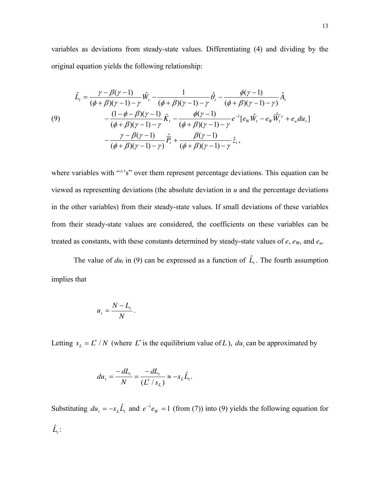variables as deviations from steady-state values. Differentiating (4) and dividing by the original equation yields the following relationship:

$$
\hat{L}_{t} = \frac{\gamma - \beta(\gamma - 1)}{(\phi + \beta)(\gamma - 1) - \gamma} \hat{W}_{t} - \frac{1}{(\phi + \beta)(\gamma - 1) - \gamma} \hat{\theta}_{t} - \frac{\phi(\gamma - 1)}{(\phi + \beta)(\gamma - 1) - \gamma} \hat{A}_{t}
$$
\n(9)\n
$$
- \frac{(1 - \phi - \beta)(\gamma - 1)}{(\phi + \beta)(\gamma - 1) - \gamma} \hat{K}_{t} - \frac{\phi(\gamma - 1)}{(\phi + \beta)(\gamma - 1) - \gamma} e^{-1} [e_{w} \hat{W}_{t} - e_{w} \hat{\overline{W}}_{t}^{e} + e_{u} du_{t}] - \frac{\gamma - \beta(\gamma - 1)}{(\phi + \beta)(\gamma - 1) - \gamma} \hat{\overline{P}}_{t} + \frac{\beta(\gamma - 1)}{(\phi + \beta)(\gamma - 1) - \gamma} \hat{z}_{t},
$$

where variables with "^'s" over them represent percentage deviations. This equation can be viewed as representing deviations (the absolute deviation in *u* and the percentage deviations in the other variables) from their steady-state values. If small deviations of these variables from their steady-state values are considered, the coefficients on these variables can be treated as constants, with these constants determined by steady-state values of *e*, *eW*, and *eu*.

The value of  $du_t$  in (9) can be expressed as a function of  $\hat{L}_t$ . The fourth assumption implies that

$$
u_t = \frac{N - L_t}{N}.
$$

Letting  $s_L = L^* / N$  (where L<sup>\*</sup> is the equilibrium value of L),  $du_t$  can be approximated by

$$
du_t = \frac{-dL_t}{N} = \frac{-dL_t}{(L^* / s_L)} \approx -s_L \hat{L}_t.
$$

Substituting  $du_t = -s_t \hat{L}_t$  and  $e^{-t}e_w = 1$  (from (7)) into (9) yields the following equation for  $\hat{L}_t$  :  $e^{-1}e_w$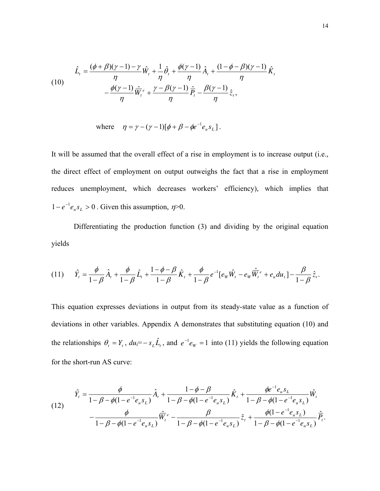(10)  

$$
\hat{L}_t = \frac{(\phi + \beta)(\gamma - 1) - \gamma}{\eta} \hat{W}_t + \frac{1}{\eta} \hat{\theta}_t + \frac{\phi(\gamma - 1)}{\eta} \hat{A}_t + \frac{(1 - \phi - \beta)(\gamma - 1)}{\eta} \hat{K}_t
$$

$$
- \frac{\phi(\gamma - 1)}{\eta} \hat{\overline{W}}_t^e + \frac{\gamma - \beta(\gamma - 1)}{\eta} \hat{\overline{P}}_t - \frac{\beta(\gamma - 1)}{\eta} \hat{Z}_t,
$$

where 
$$
\eta = \gamma - (\gamma - 1)[\phi + \beta - \phi e^{-1}e_u s_L].
$$

It will be assumed that the overall effect of a rise in employment is to increase output (i.e., the direct effect of employment on output outweighs the fact that a rise in employment reduces unemployment, which decreases workers' efficiency), which implies that  $1 - e^{-1}e_{\mu} s_L > 0$ . Given this assumption,  $\eta > 0$ .  $e^{-1}e_{u}s_{L}$ 

Differentiating the production function (3) and dividing by the original equation yields

$$
(11) \qquad \hat{Y}_t = \frac{\phi}{1-\beta} \hat{A}_t + \frac{\phi}{1-\beta} \hat{L}_t + \frac{1-\phi-\beta}{1-\beta} \hat{K}_t + \frac{\phi}{1-\beta} e^{-1} [e_w \hat{W}_t - e_w \hat{\overline{W}}_t^e + e_u du_t] - \frac{\beta}{1-\beta} \hat{z}_t.
$$

This equation expresses deviations in output from its steady-state value as a function of deviations in other variables. Appendix A demonstrates that substituting equation (10) and the relationships  $\theta_t = Y_t$ ,  $du_t = -s_L \hat{L}_t$ , and  $e^{-t}e_w = 1$  into (11) yields the following equation for the short-run AS curve:  $e^{-1}e_{W}$ 

(12) 
$$
\hat{Y}_t = \frac{\phi}{1 - \beta - \phi(1 - e^{-1}e_u s_L)} \hat{A}_t + \frac{1 - \phi - \beta}{1 - \beta - \phi(1 - e^{-1}e_u s_L)} \hat{K}_t + \frac{\phi e^{-1}e_u s_L}{1 - \beta - \phi(1 - e^{-1}e_u s_L)} \hat{W}_t - \frac{\phi}{1 - \beta - \phi(1 - e^{-1}e_u s_L)} \hat{\overline{W}}_t^e - \frac{\beta}{1 - \beta - \phi(1 - e^{-1}e_u s_L)} \hat{Z}_t + \frac{\phi(1 - e^{-1}e_u s_L)}{1 - \beta - \phi(1 - e^{-1}e_u s_L)} \hat{\overline{P}}_t.
$$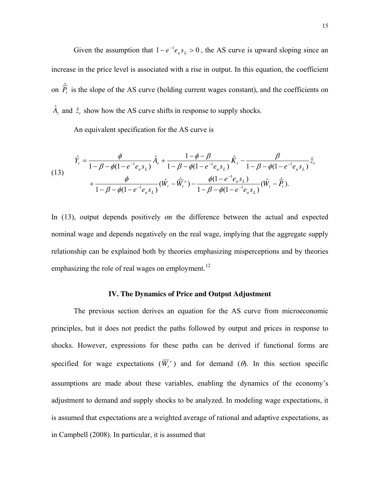Given the assumption that  $1 - e^{-1}e_{u}s_{L} > 0$ , the AS curve is upward sloping since an increase in the price level is associated with a rise in output. In this equation, the coefficient on  $\hat{P}_t$  is the slope of the AS curve (holding current wages constant), and the coefficients on  $e^{-1}e_{u}s_{L}$  $\hat{A}_t$  and  $\hat{z}_t$  show how the AS curve shifts in response to supply shocks.

An equivalent specification for the AS curve is

(13) 
$$
\hat{Y}_t = \frac{\phi}{1 - \beta - \phi(1 - e^{-1}e_u s_L)} \hat{A}_t + \frac{1 - \phi - \beta}{1 - \beta - \phi(1 - e^{-1}e_u s_L)} \hat{K}_t - \frac{\beta}{1 - \beta - \phi(1 - e^{-1}e_u s_L)} z_t + \frac{\phi}{1 - \beta - \phi(1 - e^{-1}e_u s_L)} (\hat{W}_t - \hat{\overline{W}}_t^e) - \frac{\phi(1 - e^{-1}e_u s_L)}{1 - \beta - \phi(1 - e^{-1}e_u s_L)} (\hat{W}_t - \hat{\overline{P}}_t).
$$

In (13), output depends positively on the difference between the actual and expected nominal wage and depends negatively on the real wage, implying that the aggregate supply relationship can be explained both by theories emphasizing misperceptions and by theories emphasizing the role of real wages on employment.<sup>[12](#page-40-1)</sup>

#### **IV. The Dynamics of Price and Output Adjustment**

The previous section derives an equation for the AS curve from microeconomic principles, but it does not predict the paths followed by output and prices in response to shocks. However, expressions for these paths can be derived if functional forms are specified for wage expectations  $(\overline{W}_t^e)$  and for demand  $(\theta)$ . In this section specific assumptions are made about these variables, enabling the dynamics of the economy's adjustment to demand and supply shocks to be analyzed. In modeling wage expectations, it is assumed that expectations are a weighted average of rational and adaptive expectations, as in Campbell (2008). In particular, it is assumed that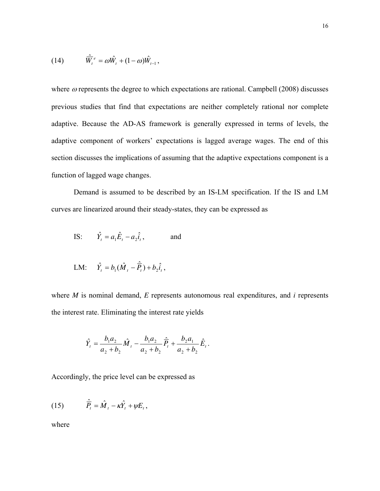(14) 
$$
\hat{\overline{W}}_t^e = \omega \hat{W}_t + (1 - \omega) \hat{W}_{t-1},
$$

where  $\omega$  represents the degree to which expectations are rational. Campbell (2008) discusses previous studies that find that expectations are neither completely rational nor complete adaptive. Because the AD-AS framework is generally expressed in terms of levels, the adaptive component of workers' expectations is lagged average wages. The end of this section discusses the implications of assuming that the adaptive expectations component is a function of lagged wage changes.

curves are linearized around their steady-states, they can be expressed as Demand is assumed to be described by an IS-LM specification. If the IS and LM

IS:  $\hat{Y}_t = a_1 \hat{E}_t - a_2 \hat{i}_t$ , and

LM: 
$$
\hat{Y}_t = b_1(\hat{M}_t - \hat{\overline{P}_t}) + b_2 \hat{i}_t
$$
,

where  $M$  is nominal demand,  $E$  represents autonomous real expenditures, and  $i$  represents the interest rate. Eliminating the interest rate yields

$$
\hat{Y}_t = \frac{b_1 a_2}{a_2 + b_2} \hat{M}_t - \frac{b_1 a_2}{a_2 + b_2} \hat{P}_t + \frac{b_2 a_1}{a_2 + b_2} \hat{E}_t.
$$

Accordingly, the price level can be expressed as

(15) 
$$
\hat{\overline{P}}_t = \hat{M}_t - \kappa \hat{Y}_t + \psi E_t,
$$

where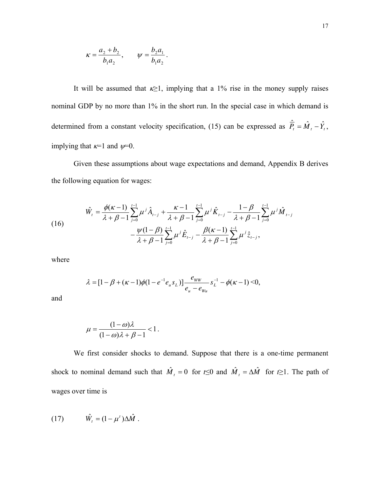$$
\kappa = \frac{a_2 + b_2}{b_1 a_2}, \qquad \psi = \frac{b_2 a_1}{b_1 a_2}.
$$

It will be assumed that  $k \geq 1$ , implying that a 1% rise in the money supply raises nominal GDP by no more than 1% in the short run. In the special case in which demand is determined from a constant velocity specification, (15) can be expressed as  $\hat{P}_t = \hat{M}_t - \hat{Y}_t$ , implying that  $\kappa=1$  and  $\psi=0$ .

Given these assumptions about wage expectations and demand, Appendix B derives the following equation for wages:

(16) 
$$
\hat{W}_{t} = \frac{\phi(\kappa - 1)}{\lambda + \beta - 1} \sum_{j=0}^{t-1} \mu^{j} \hat{A}_{t-j} + \frac{\kappa - 1}{\lambda + \beta - 1} \sum_{j=0}^{t-1} \mu^{j} \hat{K}_{t-j} - \frac{1 - \beta}{\lambda + \beta - 1} \sum_{j=0}^{t-1} \mu^{j} \hat{M}_{t-j} \n- \frac{\psi(1 - \beta)}{\lambda + \beta - 1} \sum_{j=0}^{t-1} \mu^{j} \hat{E}_{t-j} - \frac{\beta(\kappa - 1)}{\lambda + \beta - 1} \sum_{j=0}^{t-1} \mu^{j} \hat{z}_{t-j},
$$

where

$$
\lambda = [1 - \beta + (\kappa - 1)\phi(1 - e^{-1}e_{u} s_{L})] \frac{e_{ww}}{e_{u} - e_{wu}} s_{L}^{-1} - \phi(\kappa - 1) < 0,
$$

and

$$
\mu = \frac{(1 - \omega)\lambda}{(1 - \omega)\lambda + \beta - 1} < 1.
$$

We first consider shocks to demand. Suppose that there is a one-time permanent shock to nominal demand such that  $\hat{M}_t = 0$  for  $t \le 0$  and  $\hat{M}_t = \Delta \hat{M}$  for  $t \ge 1$ . The path of wages over time is

$$
(17) \hspace{1cm} \hat{W}_t = (1 - \mu^t) \Delta \hat{M} \ .
$$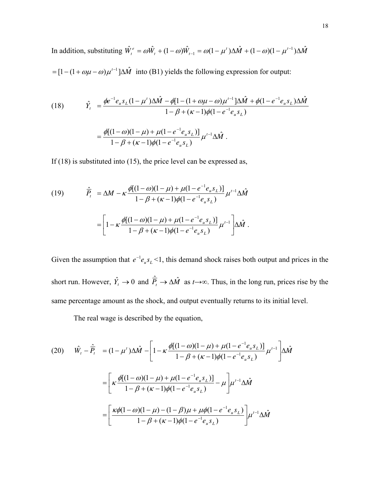In addition, substituting  $\hat{W}_t^e = \omega \hat{W}_t + (1 - \omega) \hat{W}_{t-1} = \omega (1 - \mu^t) \Delta \hat{M} + (1 - \omega) (1 - \mu^{t-1}) \Delta \hat{M}$  $=[1-(1+\omega\mu-\omega)\mu^{t-1}]\Delta \hat{M}$  into (B1) yields the following expression for output:  $t^{1}$   $(1 \omega)$ <sup>*t*</sup> $t$ </sup> *e*  $\hat{W}_{t}^{e} = \omega \hat{W}_{t} + (1 - \omega) \hat{W}_{t-1} = \omega (1 - \mu^{t}) \Delta \hat{M} + (1 - \omega) (1 - \mu^{t-1}) \Delta \hat{M}$ 

(18) 
$$
\hat{Y}_t = \frac{\phi e^{-1} e_u s_L (1 - \mu') \Delta \hat{M} - \phi [1 - (1 + \omega \mu - \omega) \mu'^{-1}] \Delta \hat{M} + \phi (1 - e^{-1} e_u s_L) \Delta \hat{M}}{1 - \beta + (\kappa - 1) \phi (1 - e^{-1} e_u s_L)}
$$

$$
= \frac{\phi [(1 - \omega)(1 - \mu) + \mu (1 - e^{-1} e_u s_L)]}{1 - \beta + (\kappa - 1) \phi (1 - e^{-1} e_u s_L)} \mu'^{-1} \Delta \hat{M}.
$$

If  $(18)$  is substituted into  $(15)$ , the price level can be expressed as,

(19) 
$$
\hat{P}_{t} = \Delta M - \kappa \frac{\phi[(1-\omega)(1-\mu) + \mu(1-e^{-1}e_{u}s_{L})]}{1-\beta + (\kappa-1)\phi(1-e^{-1}e_{u}s_{L})} \mu^{t-1}\Delta \hat{M}
$$

$$
= \left[1 - \kappa \frac{\phi[(1-\omega)(1-\mu) + \mu(1-e^{-1}e_{u}s_{L})]}{1-\beta + (\kappa-1)\phi(1-e^{-1}e_{u}s_{L})} \mu^{t-1}\right] \Delta \hat{M}.
$$

Given the assumption that  $e^{-1}e_{u}s_{L}$  <1, this demand shock raises both output and prices in the short run. However,  $\hat{Y}_t \to 0$  and  $\hat{\overline{P}}_t \to \Delta \hat{M}$  as  $t \to \infty$ . Thus, in the long run, prices rise by the same percentage amount as the shock, and output eventually returns to its initial level.

The real wage is described by the equation,

$$
(20) \quad \hat{W}_{t} - \hat{P}_{t} = (1 - \mu^{t})\Delta \hat{M} - \left[1 - \kappa \frac{\phi[(1 - \omega)(1 - \mu) + \mu(1 - e^{-1}e_{u}s_{L})]}{1 - \beta + (\kappa - 1)\phi(1 - e^{-1}e_{u}s_{L})}\mu^{t-1}\right]\Delta \hat{M}
$$
\n
$$
= \left[\kappa \frac{\phi[(1 - \omega)(1 - \mu) + \mu(1 - e^{-1}e_{u}s_{L})]}{1 - \beta + (\kappa - 1)\phi(1 - e^{-1}e_{u}s_{L})}-\mu\right]\mu^{t-1}\Delta \hat{M}
$$
\n
$$
= \left[\frac{\kappa \phi(1 - \omega)(1 - \mu) - (1 - \beta)\mu + \mu \phi(1 - e^{-1}e_{u}s_{L})}{1 - \beta + (\kappa - 1)\phi(1 - e^{-1}e_{u}s_{L})}\right]\mu^{t-1}\Delta \hat{M}
$$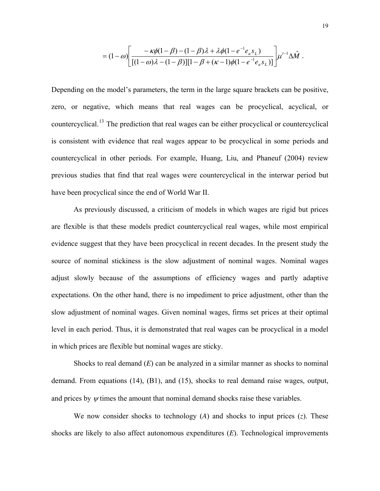$$
= (1 - \omega) \left[ \frac{-\kappa \phi (1 - \beta) - (1 - \beta) \lambda + \lambda \phi (1 - e^{-1} e_u s_L)}{[(1 - \omega) \lambda - (1 - \beta)][1 - \beta + (\kappa - 1) \phi (1 - e^{-1} e_u s_L)]} \right] \mu^{t-1} \Delta \hat{M}.
$$

Depending on the model's parameters, the term in the large square brackets can be positive, zero, or negative, which means that real wages can be procyclical, acyclical, or countercyclical.[13](#page-40-1) The prediction that real wages can be either procyclical or countercyclical is consistent with evidence that real wages appear to be procyclical in some periods and countercyclical in other periods. For example, Huang, Liu, and Phaneuf (2004) review previous studies that find that real wages were countercyclical in the interwar period but have been procyclical since the end of World War II.

are flexible is that these models predict countercyclical real wages, while most empirical evidenc e suggest that they have been procyclical in recent decades. In the present study the As previously discussed, a criticism of models in which wages are rigid but prices source of nominal stickiness is the slow adjustment of nominal wages. Nominal wages adjust slowly because of the assumptions of efficiency wages and partly adaptive expectations. On the other hand, there is no impediment to price adjustment, other than the slow adjustment of nominal wages. Given nominal wages, firms set prices at their optimal level in each period. Thus, it is demonstrated that real wages can be procyclical in a model in which prices are flexible but nominal wages are sticky.

demand. From equations  $(14)$ ,  $(B1)$ , and  $(15)$ , shocks to real demand raise wages, output, and prices by  $\psi$  times the amount that nominal demand shocks raise these variables. Shocks to real demand (*E*) can be analyzed in a similar manner as shocks to nominal

shocks are likely to also affect autonomous expenditures  $(E)$ . Technological improvements We now consider shocks to technology  $(A)$  and shocks to input prices  $(z)$ . These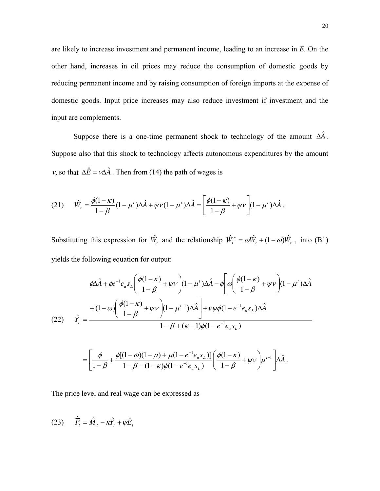are likely to increase investment and permanent income, leading to an increase in *E*. On the other hand, increases in oil prices may reduce the consumption of domestic goods by reducing permanent income and by raising consumption of foreign imports at the expense of domestic goods. Input price increases may also reduce investment if investment and the input are complements.

Suppose there is a one-time permanent shock to technology of the amount  $\Delta \hat{A}$ . Suppose also that this shock to technology affects autonomous expenditures by the am ount *v*, so that  $\Delta \hat{E} = v \Delta \hat{A}$ . Then from (14) the path of wages is

$$
(21) \qquad \hat{W}_t = \frac{\phi(1-\kappa)}{1-\beta}(1-\mu')\Delta \hat{A} + \psi \nu (1-\mu')\Delta \hat{A} = \left[\frac{\phi(1-\kappa)}{1-\beta} + \psi \nu\right](1-\mu')\Delta \hat{A}.
$$

Substituting this expression for  $\hat{W}_t$  and the relationship  $\hat{W}_t^e = \omega \hat{W}_t + (1 - \omega) \hat{W}_{t-1}$  into (B1) yields the following equation for output:

$$
\phi \Delta \hat{A} + \phi e^{-1} e_u s_L \left( \frac{\phi(1-\kappa)}{1-\beta} + \psi \nu \right) (1-\mu^t) \Delta \hat{A} - \phi \left[ \omega \left( \frac{\phi(1-\kappa)}{1-\beta} + \psi \nu \right) (1-\mu^t) \Delta \hat{A} \right]
$$
  

$$
(22) \qquad \hat{Y}_t = \frac{+(1-\omega) \left( \frac{\phi(1-\kappa)}{1-\beta} + \psi \nu \right) (1-\mu^{t-1}) \Delta \hat{A} \right] + \nu \psi \phi (1-e^{-1}e_u s_L) \Delta \hat{A}
$$
  

$$
1-\beta + (\kappa - 1) \phi (1-e^{-1}e_u s_L)
$$

$$
= \left[ \frac{\phi}{1-\beta} + \frac{\phi[(1-\omega)(1-\mu)+\mu(1-e^{-1}e_{u}s_{L})]}{1-\beta-(1-\kappa)\phi(1-e^{-1}e_{u}s_{L})} \right] \left( \frac{\phi(1-\kappa)}{1-\beta} + \psi \nu \right) \mu^{t-1} \left] \Delta \hat{A} \right].
$$

The price level and real wage can be expressed as

$$
(23) \qquad \hat{\overline{P}_t} = \hat{M}_t - \kappa \hat{Y}_t + \psi \hat{E}_t
$$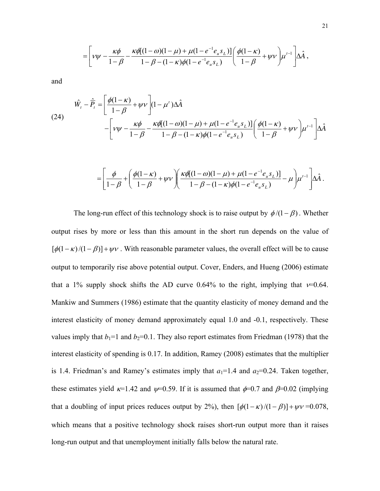$$
= \left[ v\psi - \frac{\kappa \phi}{1 - \beta} - \frac{\kappa \phi [(1 - \omega)(1 - \mu) + \mu (1 - e^{-1} e_u s_L)]}{1 - \beta - (1 - \kappa) \phi (1 - e^{-1} e_u s_L)} \right] \left( \frac{\phi (1 - \kappa)}{1 - \beta} + \psi v \right) \mu^{t-1} \left[ \Delta \hat{A} \right],
$$

and

$$
\hat{W}_t - \hat{P}_t = \left[ \frac{\phi(1-\kappa)}{1-\beta} + \psi V \right] (1-\mu^t) \Delta \hat{A}
$$
\n
$$
- \left[ V\psi - \frac{\kappa \phi}{1-\beta} - \frac{\kappa \phi [(1-\omega)(1-\mu) + \mu(1-e^{-1}e_u s_L)]}{1-\beta - (1-\kappa)\phi(1-e^{-1}e_u s_L)} \right] \left( \frac{\phi(1-\kappa)}{1-\beta} + \psi V \right) \mu^{t-1} \Delta \hat{A}
$$

$$
= \left[ \frac{\phi}{1-\beta} + \left( \frac{\phi(1-\kappa)}{1-\beta} + \psi \nu \right) \left( \frac{\kappa \phi[(1-\omega)(1-\mu) + \mu(1-e^{-1}e_u s_L)]}{1-\beta - (1-\kappa)\phi(1-e^{-1}e_u s_L)} - \mu \right) \mu^{t-1} \right] \Delta \hat{A}.
$$

The long-run effect of this technology shock is to raise output by  $\phi/(1-\beta)$ . Whether output rises by more or less than this amount in the short run depends on the value of  $[\phi(1-\kappa)/(1-\beta)] + \psi \nu$ . With reasonable parameter values, the overall effect will be to cause output to temporarily rise above potential output. Cover, Enders, and Hueng (2006) estimate that a 1% supply shock shifts the AD curve 0.64% to the right, implying that  $v=0.64$ . Mankiw and Summers (1986) estimate that the quantity elasticity of money demand and the interest elasticity of money demand approximately equal 1.0 and -0.1, respectively. These values imply that  $b_1=1$  and  $b_2=0.1$ . They also report estimates from Friedman (1978) that the interest elasticity of spending is 0.17. In addition, Ramey (2008) estimates that the multiplier is 1.4. Friedman's and Ramey's estimates imply that  $a_1=1.4$  and  $a_2=0.24$ . Taken together, these estimates yield  $\kappa$ =1.42 and  $\psi$ =0.59. If it is assumed that  $\phi$ =0.7 and  $\beta$ =0.02 (implying that a doubling of input prices reduces output by 2%), then  $[\phi(1-\kappa)/(1-\beta)] + \psi \nu = 0.078$ , which means that a positive technology shock raises short-run output more than it raises long-run output and that unemployment initially falls below the natural rate.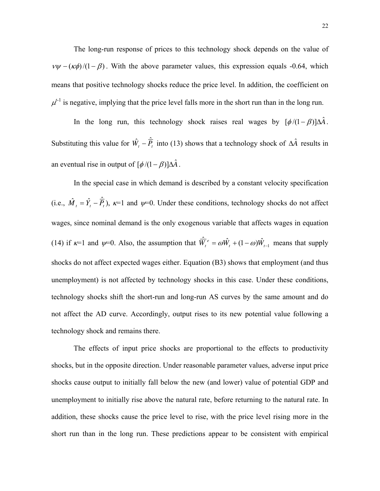The long-run response of prices to this technology shock depends on the value of  $v\psi - (\kappa \phi)/(1 - \beta)$ . With the above parameter values, this expression equals -0.64, which means that positive technology shocks reduce the price level. In addition, the coefficient on  $\mu<sup>t-1</sup>$  is negative, implying that the price level falls more in the short run than in the long run.

Substituting this value for  $\hat{W}_t - \hat{P}_t$  into (13) shows that a technology shock of  $\Delta \hat{A}$  results in In the long run, this technology shock raises real wages by  $[\phi/(1-\beta)]\Delta \hat{A}$ . an eventual rise in output of  $\left[\phi/(1-\beta)\right]\Delta\hat{A}$ .

In the special case in which demand is described by a constant velocity specification (i.e.,  $\hat{M}_t = \hat{Y}_t - \hat{P}_t$ ),  $\kappa = 1$  and  $\psi = 0$ . Under these conditions, technology shocks do not affect wages, since nom inal demand is the only exogenous variable that affects wages in equation (14) if  $\kappa=1$  and  $\psi=0$ . Also, the assumption that  $\hat{\overline{W}}_t^e = \omega \hat{W}_t + (1-\omega)\hat{W}_{t-1}$  means that supply shocks do not affect expected wages either. Equation (B3) shows that employment (and thus unemployment) is not affected by technology shocks in this case. Under these conditions, technology shocks shift the short-run and long-run AS curves by the same amount and do not affect the AD curve. Accordingly, output rises to its new potential value following a technology shock and remains there.

The effects of input price shocks are proportional to the effects to productivity shocks, but in the opposite direction. U nder reasonable parameter values, adverse input price shocks cause output to initially fall below the new (and lower) value of potential GDP and unemployment to initially rise above the natural rate, before returning to the natural rate. In addition, these shocks cause the price level to rise, with the price level rising more in the short run than in the long run. These predictions appear to be consistent with empirical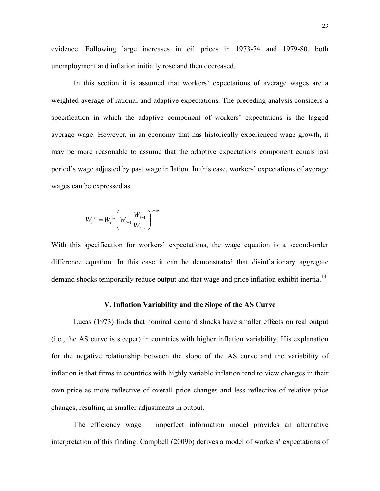evidence. Following large increases in oil prices in 1973-74 and 1979-80, both unemployment and inflation initially rose and then decreased.

In this section it is assumed that workers' expectations of average wages are a weighted average of rational and adaptive expectations. The preceding analysis considers a specification in which the adaptive component of workers' expectations is the lagged average wage. However, in an economy that has historically experienced wage growth, it may be more reasonable to assume that the adaptive expectations component equals last period's wage adjusted by past wage inflation. In this case, workers' expectations of average wages can be expressed as

$$
\overline{W}_{t}^{e} = \overline{W}_{t}^{\omega} \left( \overline{W}_{t-1} \frac{\overline{W}_{t-1}}{\overline{W}_{t-2}} \right)^{1-\omega}.
$$

With this specification for workers' expectations, the wage equation is a second-order difference equation. In this case it can be demonstrated that disinflationary aggregate demand shocks temporarily reduce output and that wage and price inflation exhibit inertia.<sup>[14](#page-40-1)</sup>

#### **V. Inflation Variability and the Slope of the AS Curve**

Lucas (1973) finds that nominal demand shocks have smaller effects on real output  $(i.e., the AS curve is steeper)$  in countries with higher inflation variability. His explanation for the negative relationship between the slope of the AS curve and the variability of inflation is that firms in countries with highly variable inflation tend to view changes in their own price as more reflective of overall price changes and less reflective of relative price changes, resulting in smaller adjustments in output.

interpretation of this finding. Campbell (2009b) derives a model of workers' expectations of The efficiency wage – imperfect information model provides an alternative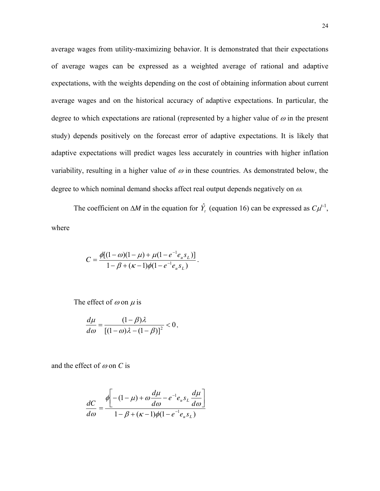average wages from utility-maximizing behavior. It is demonstrated that their expectations of average wages can be expressed as a weighted average of rational and adaptive expectations, with the weights depending on the cost of obtaining information about current average wages and on the historical accuracy of adaptive expectations. In particular, the degree to which expectations are rational (represented by a higher value of  $\omega$  in the present study) depends positively on the forecast error of adaptive expectations. It is likely that adaptive expectations will predict wages less accurately in countries with higher inflation variability, resulting in a higher value of  $\omega$  in these countries. As demonstrated below, the degree to which nominal demand shocks affect real output depends negatively on  $\omega$ .

The coefficient on  $\Delta M$  in the equation for  $\hat{Y}_t$  (equation 16) can be expressed as  $C\mu^{t-1}$ , where

$$
C = \frac{\phi[(1-\omega)(1-\mu)+\mu(1-e^{-1}e_{u}s_{L})]}{1-\beta+(\kappa-1)\phi(1-e^{-1}e_{u}s_{L})}.
$$

The effect of  $\omega$  on  $\mu$  is

$$
\frac{d\mu}{d\omega} = \frac{(1-\beta)\lambda}{\left[(1-\omega)\lambda - (1-\beta)\right]^2} < 0,
$$

and the effect of ω on *C* is

$$
\frac{dC}{d\omega} = \frac{\phi \left[ -(1-\mu) + \omega \frac{d\mu}{d\omega} - e^{-1} e_u s_L \frac{d\mu}{d\omega} \right]}{1 - \beta + (\kappa - 1)\phi (1 - e^{-1} e_u s_L)}
$$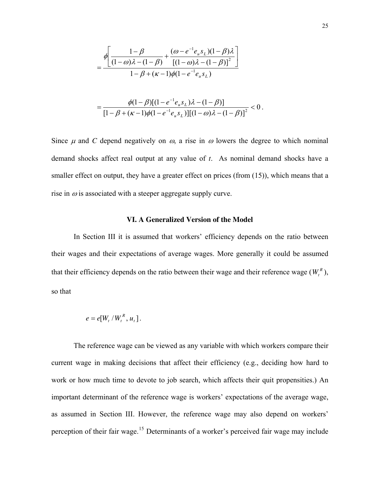$$
= \frac{\phi \left[ \frac{1-\beta}{(1-\omega)\lambda - (1-\beta)} + \frac{(\omega - e^{-1}e_{u} s_{L})(1-\beta)\lambda}{[(1-\omega)\lambda - (1-\beta)]^{2}} \right]}{1-\beta + (\kappa - 1)\phi(1 - e^{-1}e_{u} s_{L})}
$$

$$
=\frac{\phi(1-\beta)[(1-e^{-1}e_us_L)\lambda-(1-\beta)]}{[1-\beta+(\kappa-1)\phi(1-e^{-1}e_us_L)][(1-\omega)\lambda-(1-\beta)]^2}<0.
$$

Since  $\mu$  and C depend negatively on  $\omega$ , a rise in  $\omega$  lowers the degree to which nominal demand shocks affect real output at any value of *t*. As nominal demand shocks have a smaller effect on output, they have a greater effect on prices (from (15)), which means that a rise in  $\omega$  is associated with a steeper aggregate supply curve.

#### **VI. A Generalized Version of the Model**

In Section III it is assumed that workers' efficiency depends on the ratio between their wages and their expectations of average wages. More generally it could be assumed that their efficiency depends on the ratio between their wage and their reference wage  $(W_t^R)$ , so that

$$
e = e[W_t / W_t^R, u_t].
$$

The reference wage can be viewed as any variable with which workers compare their current wage in making decisions that affect their efficiency (e.g., deciding how hard to work or how much time to devote to job search, which affects their quit propensities.) An importa nt determinant of the reference wage is workers' expectations of the average wage, as assumed in Section III. However, the reference wage may also depend on workers' perception of their fair wage.[15](#page-40-1) Determinants of a worker's perceived fair wage may include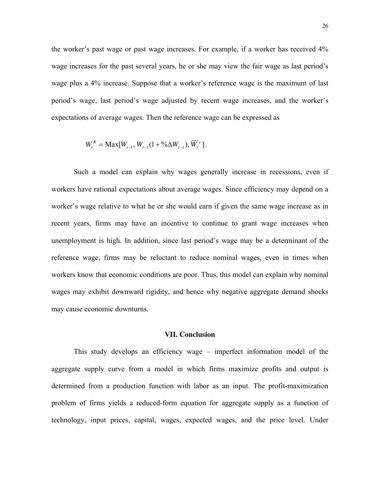the worker's past wage or past wage increases. For example, if a worker has received 4% wage increases for the past several years, he or she may view the fair wage as last period's wage plus a 4% increase. Suppose that a worker's reference wage is the maximum of last period's wage, last period's wage adjusted by recent wage increases, and the worker's expectations of average wages. Then the reference wage can be expressed as

$$
W_t^R = \text{Max}[W_{t-1}, W_{t-1}(1 + \sqrt[0]{2} \Delta W_{t-1}), \overline{W}_t^e].
$$

Such a model can explain why wages generally increase in recessions, even if workers have rational expectations about average wages. Since efficiency may depend on a worker's wage relative to what he or she would earn if given the same wage increase as in recent years, firms may have an incentive to continue to grant wage increases when unemployment is high. In addition, since last period's wage may be a determinant of the reference wage, firms may be reluctant to reduce nominal wages, even in times when workers know that economic conditions are poor. Thus, this model can explain why nominal wages may exhibit downward rigidity, and hence why negative aggregate demand shocks may cause economic downturns.

#### **VII. Conclusion**

This study develops an efficiency wage – imperfect information model of the aggregate supply curve from a model in which firms maximize profits and output is determined from a production function with labor as an input. The profit-maximization problem of firms yields a reduced-form equation for aggregate supply as a function of technology, input prices, capital, wages, expected wages, and the price level. Under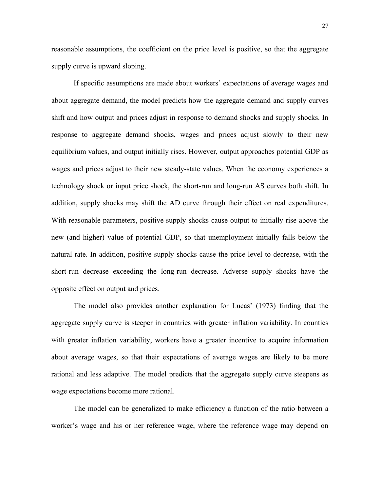reasonable assumptions, the coefficient on the price level is positive, so that the aggregate supply curve is upward sloping.

If specific assumptions are made about workers' expectations of average wages and about aggregate demand, the model predicts how the aggregate demand and supply curves shift an d how output and prices adjust in response to demand shocks and supply shocks. In response to aggregate demand shocks, wages and prices adjust slowly to their new equilibrium values, and output initially rises. However, output approaches potential GDP as wages and prices adjust to their new steady-state values. When the economy experiences a technology shock or input price shock, the short-run and long-run AS curves both shift. In addition, supply shocks may shift the AD curve through their effect on real expenditures. With reasonable parameters, positive supply shocks cause output to initially rise above the new (and higher) value of potential GDP, so that unemployment initially falls below the natural rate. In addition, positive supply shocks cause the price level to decrease, with the short-run decrease exceeding the long-run decrease. Adverse supply shocks have the opposite effect on output and prices.

aggregate supply curve is steeper in countries with greater inflation variability. In counties with greater inflation variability, workers have a greater incentive to acquire information The model also provides another explanation for Lucas' (1973) finding that the about average wages, so that their expectations of average wages are likely to be more rational and less adaptive. The model predicts that the aggregate supply curve steepens as wage expectations become more rational.

worker's wage and his or her reference wage, where the reference wage may depend on The model can be generalized to make efficiency a function of the ratio between a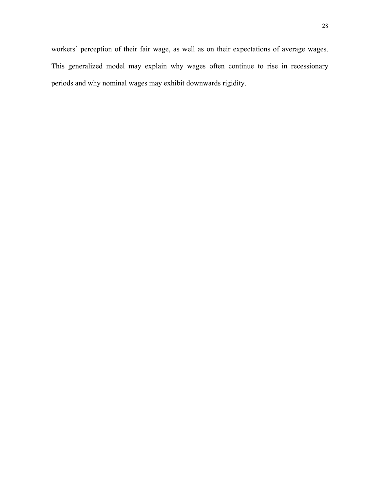workers' perception of their fair wage, as well as on their expectations of average wages. This generalized model may explain why wages often continue to rise in recessionary periods and why nominal wages may exhibit downwards rigidity.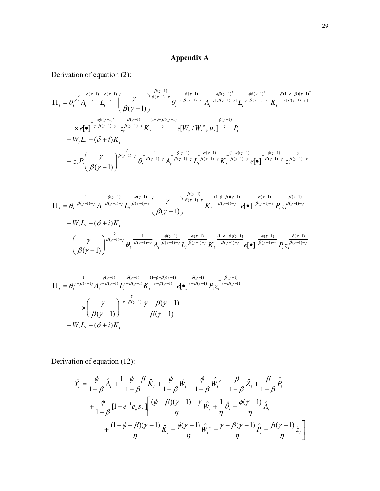## **Appendix A**

# Derivation of equation (2):

$$
\Pi_{t} = \theta_{t}^{\frac{1}{\gamma}} A_{t}^{\frac{\phi(\gamma-1)}{\gamma}} L_{t}^{\frac{\phi(\gamma-1)}{\gamma}} \left(\frac{\gamma}{\beta(\gamma-1)}\right)^{\frac{\beta(\gamma-1)}{\beta(\gamma-1)-\gamma}} \theta_{t}^{-\frac{\beta(\gamma-1)}{\gamma[\beta(\gamma-1)-\gamma]}} A_{t}^{-\frac{\phi\beta(\gamma-1)^{2}}{\gamma[\beta(\gamma-1)-\gamma]}} L_{t}^{-\frac{\phi\beta(\gamma-1)^{2}}{\gamma[\beta(\gamma-1)-\gamma]}} K_{t}^{-\frac{\beta(1-\phi-\beta)(\gamma-1)^{2}}{\gamma[\beta(\gamma-1)-\gamma]}} \times e[\bullet]^{-\frac{\phi\beta(\gamma-1)^{2}}{\gamma[\beta(\gamma-1)-\gamma]}} z_{t}^{\frac{\beta(\gamma-1)}{\beta(\gamma-1)-\gamma}} K_{t}^{\frac{(1-\phi-\beta)(\gamma-1)}{\gamma}} e[W_{t}/\overline{W}_{t}^{e}, u_{t}]^{-\frac{\phi(\gamma-1)}{\gamma}} \overline{P}_{t}
$$
\n
$$
-W_{t}L_{t} - (\delta + i)K_{t} - z_{t} \overline{P_{t}} \left(\frac{\gamma}{\beta(\gamma-1)}\right)^{\frac{\gamma}{\beta(\gamma-1)-\gamma}} \theta_{t}^{-\frac{1}{\beta(\gamma-1)-\gamma}} A_{t}^{-\frac{\phi(\gamma-1)}{\beta(\gamma-1)-\gamma}} L_{t}^{-\frac{\phi(\gamma-1)}{\beta(\gamma-1)-\gamma}} K_{t}^{-\frac{(1-\phi)(\gamma-1)}{\beta(\gamma-1)-\gamma}} e[\bullet]^{-\frac{\phi(\gamma-1)}{\beta(\gamma-1)-\gamma}} z_{t}^{\frac{\gamma}{\beta(\gamma-1)-\gamma}}
$$

$$
\Pi_{t} = \theta_{t}^{-\frac{1}{\beta(\gamma-1)-\gamma}} A_{t}^{-\frac{\phi(\gamma-1)}{\beta(\gamma-1)-\gamma}} L_{t}^{-\frac{\phi(\gamma-1)}{\beta(\gamma-1)-\gamma}} \left(\frac{\gamma}{\beta(\gamma-1)}\right)^{\frac{\beta(\gamma-1)}{\beta(\gamma-1)-\gamma}} K_{t}^{-\frac{(1-\phi-\beta)(\gamma-1)}{\beta(\gamma-1)-\gamma}} e\left[\bullet\right]^{-\frac{\phi(\gamma-1)}{\beta(\gamma-1)-\gamma}} \overline{P_{t} z_{t}^{\frac{\beta(\gamma-1)-\gamma}{\beta(\gamma-1)-\gamma}}}
$$

$$
-W_{t}L_{t} - (\delta + i)K_{t}
$$

$$
- \left(\frac{\gamma}{\beta(\gamma-1)}\right)^{\frac{\gamma}{\beta(\gamma-1)-\gamma}} \theta_{t}^{-\frac{1}{\beta(\gamma-1)-\gamma}} A_{t}^{-\frac{\phi(\gamma-1)}{\beta(\gamma-1)-\gamma}} L_{t}^{-\frac{\phi(\gamma-1)}{\beta(\gamma-1)-\gamma}} K_{t}^{-\frac{(1-\phi-\beta)(\gamma-1)}{\beta(\gamma-1)-\gamma}} e\left[\bullet\right]^{-\frac{\phi(\gamma-1)}{\beta(\gamma-1)-\gamma}} \overline{P_{t} z_{t}^{\frac{\beta(\gamma-1)-\gamma}{\beta(\gamma-1)-\gamma}}}
$$

$$
\Pi_t = \theta_t^{\frac{1}{\gamma - \beta(\gamma - 1)}} A_t^{\frac{\phi(\gamma - 1)}{\gamma - \beta(\gamma - 1)}} L_t^{\frac{\phi(\gamma - 1)}{\gamma - \beta(\gamma - 1)}} K_t^{\frac{(1 - \phi - \beta)(\gamma - 1)}{\gamma - \beta(\gamma - 1)}} e[\bullet]^\frac{\phi(\gamma - 1)}{\gamma - \beta(\gamma - 1)}} \overline{P_t z_t}^{-\frac{\beta(\gamma - 1)}{\gamma - \beta(\gamma - 1)}}
$$
  

$$
\times \left(\frac{\gamma}{\beta(\gamma - 1)}\right)^{-\frac{\gamma}{\gamma - \beta(\gamma - 1)}} \frac{\gamma - \beta(\gamma - 1)}{\beta(\gamma - 1)}
$$
  

$$
-W_t L_t - (\delta + i) K_t
$$

Derivation of equation (12):

$$
\hat{Y}_{t} = \frac{\phi}{1-\beta} \hat{A}_{t} + \frac{1-\phi-\beta}{1-\beta} \hat{K}_{t} + \frac{\phi}{1-\beta} \hat{W}_{t} - \frac{\phi}{1-\beta} \hat{W}_{t}^{e} - \frac{\beta}{1-\beta} \hat{Z}_{t} + \frac{\beta}{1-\beta} \hat{P}_{t} \n+ \frac{\phi}{1-\beta} [1 - e^{-1} e_{u} s_{L}] \left[ \frac{(\phi+\beta)(\gamma-1) - \gamma}{\eta} \hat{W}_{t} + \frac{1}{\eta} \hat{\theta}_{t} + \frac{\phi(\gamma-1)}{\eta} \hat{A}_{t} \right. \n+ \frac{(1-\phi-\beta)(\gamma-1)}{\eta} \hat{K}_{t} - \frac{\phi(\gamma-1)}{\eta} \hat{W}_{t}^{e} + \frac{\gamma-\beta(\gamma-1)}{\eta} \hat{P}_{t} - \frac{\beta(\gamma-1)}{\eta} \hat{z}_{t} \right]
$$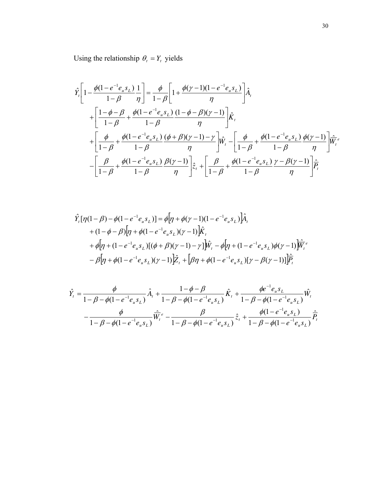Using the relationship  $\theta_t = Y_t$  yields

$$
\hat{Y}_{t}\left[1-\frac{\phi(1-e^{-1}e_{u}s_{L})}{1-\beta}\frac{1}{\eta}\right] = \frac{\phi}{1-\beta}\left[1+\frac{\phi(\gamma-1)(1-e^{-1}e_{u}s_{L})}{\eta}\right]\hat{A}_{t}
$$
\n
$$
+\left[\frac{1-\phi-\beta}{1-\beta}+\frac{\phi(1-e^{-1}e_{u}s_{L})}{1-\beta}\frac{(1-\phi-\beta)(\gamma-1)}{\eta}\right]\hat{K}_{t}
$$
\n
$$
+\left[\frac{\phi}{1-\beta}+\frac{\phi(1-e^{-1}e_{u}s_{L})}{1-\beta}\frac{(\phi+\beta)(\gamma-1)-\gamma}{\eta}\right]\hat{W}_{t}-\left[\frac{\phi}{1-\beta}+\frac{\phi(1-e^{-1}e_{u}s_{L})}{1-\beta}\frac{\phi(\gamma-1)}{\eta}\right]\hat{\overline{W}}_{t}^{e}
$$
\n
$$
-\left[\frac{\beta}{1-\beta}+\frac{\phi(1-e^{-1}e_{u}s_{L})}{1-\beta}\frac{\beta(\gamma-1)}{\eta}\right]\hat{z}_{t}+\left[\frac{\beta}{1-\beta}+\frac{\phi(1-e^{-1}e_{u}s_{L})}{1-\beta}\frac{\gamma-\beta(\gamma-1)}{\eta}\right]\hat{\overline{P}}_{t}
$$

$$
\hat{Y}_{t}[\eta(1-\beta) - \phi(1-e^{-1}e_{u}s_{L})] = \phi[\eta + \phi(\gamma - 1)(1-e^{-1}e_{u}s_{L})]\hat{A}_{t} \n+ (1-\phi-\beta)[\eta + \phi(1-e^{-1}e_{u}s_{L})(\gamma - 1)]\hat{K}_{t} \n+ \phi[\eta + (1-e^{-1}e_{u}s_{L})[(\phi + \beta)(\gamma - 1) - \gamma]]\hat{W}_{t} - \phi[\eta + (1-e^{-1}e_{u}s_{L})\phi(\gamma - 1)]\hat{\overline{W}}_{t}^{e} \n- \beta[\eta + \phi(1-e^{-1}e_{u}s_{L})(\gamma - 1)]\hat{Z}_{t} + [\beta\eta + \phi(1-e^{-1}e_{u}s_{L})[\gamma - \beta(\gamma - 1)]\hat{\overline{P}}_{t}
$$

$$
\hat{Y}_t = \frac{\phi}{1 - \beta - \phi(1 - e^{-1}e_u s_L)} \hat{A}_t + \frac{1 - \phi - \beta}{1 - \beta - \phi(1 - e^{-1}e_u s_L)} \hat{K}_t + \frac{\phi e^{-1}e_u s_L}{1 - \beta - \phi(1 - e^{-1}e_u s_L)} \hat{W}_t
$$
\n
$$
-\frac{\phi}{1 - \beta - \phi(1 - e^{-1}e_u s_L)} \hat{\overline{W}}_t^e - \frac{\beta}{1 - \beta - \phi(1 - e^{-1}e_u s_L)} \hat{z}_t + \frac{\phi(1 - e^{-1}e_u s_L)}{1 - \beta - \phi(1 - e^{-1}e_u s_L)} \hat{\overline{P}}_t
$$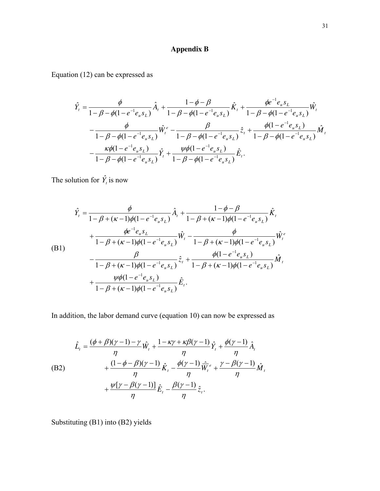## **Appendix B**

Equation (12) can be expressed as

$$
\hat{Y}_{t} = \frac{\phi}{1 - \beta - \phi(1 - e^{-1}e_{u}s_{L})}\hat{A}_{t} + \frac{1 - \phi - \beta}{1 - \beta - \phi(1 - e^{-1}e_{u}s_{L})}\hat{K}_{t} + \frac{\phi e^{-1}e_{u}s_{L}}{1 - \beta - \phi(1 - e^{-1}e_{u}s_{L})}\hat{W}_{t}
$$
\n
$$
-\frac{\phi}{1 - \beta - \phi(1 - e^{-1}e_{u}s_{L})}\hat{W}_{t}^{e} - \frac{\beta}{1 - \beta - \phi(1 - e^{-1}e_{u}s_{L})}\hat{Z}_{t} + \frac{\phi(1 - e^{-1}e_{u}s_{L})}{1 - \beta - \phi(1 - e^{-1}e_{u}s_{L})}\hat{M}_{t}
$$
\n
$$
-\frac{\kappa\phi(1 - e^{-1}e_{u}s_{L})}{1 - \beta - \phi(1 - e^{-1}e_{u}s_{L})}\hat{Y}_{t} + \frac{\psi\phi(1 - e^{-1}e_{u}s_{L})}{1 - \beta - \phi(1 - e^{-1}e_{u}s_{L})}\hat{E}_{t}.
$$

The solution for  $\hat{Y}_t$  is now

$$
\hat{Y}_{t} = \frac{\phi}{1 - \beta + (\kappa - 1)\phi(1 - e^{-1}e_{u}s_{L})}\hat{A}_{t} + \frac{1 - \phi - \beta}{1 - \beta + (\kappa - 1)\phi(1 - e^{-1}e_{u}s_{L})}\hat{K}_{t}
$$
\n
$$
+ \frac{\phi e^{-1}e_{u}s_{L}}{1 - \beta + (\kappa - 1)\phi(1 - e^{-1}e_{u}s_{L})}\hat{W}_{t} - \frac{\phi}{1 - \beta + (\kappa - 1)\phi(1 - e^{-1}e_{u}s_{L})}\hat{W}_{t}^{e}
$$
\n(B1)\n
$$
- \frac{\beta}{1 - \beta + (\kappa - 1)\phi(1 - e^{-1}e_{u}s_{L})}\hat{z}_{t} + \frac{\phi(1 - e^{-1}e_{u}s_{L})}{1 - \beta + (\kappa - 1)\phi(1 - e^{-1}e_{u}s_{L})}\hat{M}_{t}
$$
\n
$$
+ \frac{\psi\phi(1 - e^{-1}e_{u}s_{L})}{1 - \beta + (\kappa - 1)\phi(1 - e^{-1}e_{u}s_{L})}\hat{E}_{t}.
$$

In addition, the labor demand curve (equation 10) can now be expressed as

(B2)  
\n
$$
\hat{L}_t = \frac{(\phi + \beta)(\gamma - 1) - \gamma}{\eta} \hat{W}_t + \frac{1 - \kappa \gamma + \kappa \beta(\gamma - 1)}{\eta} \hat{Y}_t + \frac{\phi(\gamma - 1)}{\eta} \hat{A}_t
$$
\n
$$
+ \frac{(1 - \phi - \beta)(\gamma - 1)}{\eta} \hat{K}_t - \frac{\phi(\gamma - 1)}{\eta} \hat{W}_t^e + \frac{\gamma - \beta(\gamma - 1)}{\eta} \hat{M}_t
$$
\n
$$
+ \frac{\psi[\gamma - \beta(\gamma - 1)]}{\eta} \hat{E}_t - \frac{\beta(\gamma - 1)}{\eta} \hat{z}_t.
$$

Substituting (B1) into (B2) yields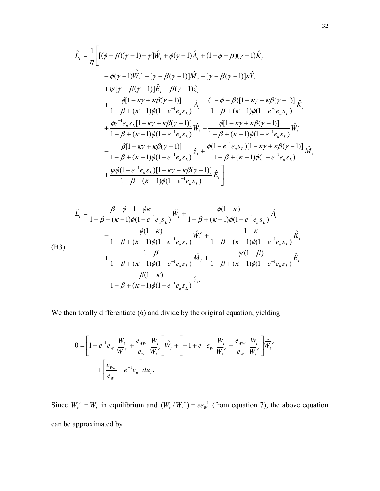$$
\hat{L}_{t} = \frac{1}{\eta} \Bigg[ [(\phi + \beta)(\gamma - 1) - \gamma] \hat{W}_{t} + \phi(\gamma - 1) \hat{A}_{t} + (1 - \phi - \beta)(\gamma - 1) \hat{K}_{t} \n- \phi(\gamma - 1) \hat{\overline{W}}_{t}^{\epsilon} + [\gamma - \beta(\gamma - 1)] \hat{M}_{t} - [\gamma - \beta(\gamma - 1)] \kappa \hat{Y}_{t} \n+ \psi[\gamma - \beta(\gamma - 1)] \hat{E}_{t} - \beta(\gamma - 1) \hat{z}_{t} \n+ \frac{\phi[1 - \kappa \gamma + \kappa \beta(\gamma - 1)]}{1 - \beta + (\kappa - 1)\phi(1 - e^{-1} e_{u} s_{L})} \hat{A}_{t} + \frac{(1 - \phi - \beta)[1 - \kappa \gamma + \kappa \beta(\gamma - 1)]}{1 - \beta + (\kappa - 1)\phi(1 - e^{-1} e_{u} s_{L})} \hat{K}_{t} \n+ \frac{\phi e^{-1} e_{u} s_{L} [1 - \kappa \gamma + \kappa \beta(\gamma - 1)]}{1 - \beta + (\kappa - 1)\phi(1 - e^{-1} e_{u} s_{L})} \hat{W}_{t} - \frac{\phi[1 - \kappa \gamma + \kappa \beta(\gamma - 1)]}{1 - \beta + (\kappa - 1)\phi(1 - e^{-1} e_{u} s_{L})} \hat{W}_{t}^{\epsilon} \n- \frac{\beta[1 - \kappa \gamma + \kappa \beta(\gamma - 1)]}{1 - \beta + (\kappa - 1)\phi(1 - e^{-1} e_{u} s_{L})} \hat{z}_{t} + \frac{\phi(1 - e^{-1} e_{u} s_{L}) [1 - \kappa \gamma + \kappa \beta(\gamma - 1)]}{1 - \beta + (\kappa - 1)\phi(1 - e^{-1} e_{u} s_{L})} \hat{M}_{t} \n+ \frac{\psi \phi(1 - e^{-1} e_{u} s_{L}) [1 - \kappa \gamma + \kappa \beta(\gamma - 1)]}{1 - \beta + (\kappa - 1)\phi(1 - e^{-1} e_{u} s_{L})} \hat{E}_{t} \Bigg]
$$

$$
\hat{L}_{t} = \frac{\beta + \phi - 1 - \phi\kappa}{1 - \beta + (\kappa - 1)\phi(1 - e^{-1}e_{u}s_{L})}\hat{W}_{t} + \frac{\phi(1 - \kappa)}{1 - \beta + (\kappa - 1)\phi(1 - e^{-1}e_{u}s_{L})}\hat{A}_{t}
$$
\n
$$
-\frac{\phi(1 - \kappa)}{1 - \beta + (\kappa - 1)\phi(1 - e^{-1}e_{u}s_{L})}\hat{W}_{t}^{e} + \frac{1 - \kappa}{1 - \beta + (\kappa - 1)\phi(1 - e^{-1}e_{u}s_{L})}\hat{K}_{t}
$$
\n(B3)\n
$$
+\frac{1 - \beta}{1 - \beta + (\kappa - 1)\phi(1 - e^{-1}e_{u}s_{L})}\hat{M}_{t} + \frac{\psi(1 - \beta)}{1 - \beta + (\kappa - 1)\phi(1 - e^{-1}e_{u}s_{L})}\hat{E}_{t}
$$
\n
$$
-\frac{\beta(1 - \kappa)}{1 - \beta + (\kappa - 1)\phi(1 - e^{-1}e_{u}s_{L})}\hat{z}_{t}.
$$

We then totally differentiate (6) and divide by the original equation, yielding

$$
0 = \left[1 - e^{-1}e_W \frac{W_t}{\overline{W}_t^e} + \frac{e_{WW}}{e_W} \frac{W_t}{\overline{W}_t^e}\right] \hat{W}_t + \left[-1 + e^{-1}e_W \frac{W_t}{\overline{W}_t^e} - \frac{e_{WW}}{e_W} \frac{W_t}{\overline{W}_t^e}\right] \hat{\overline{W}}_t^e
$$
  
+ 
$$
\left[\frac{e_{Wu}}{e_W} - e^{-1}e_u\right] du_t.
$$

Since  $\overline{W}_t^e = W_t$  in equilibrium and  $(W_t / \overline{W}_t^e) = ee_W^{-1}$  (from equation 7), the above equation can be approximated by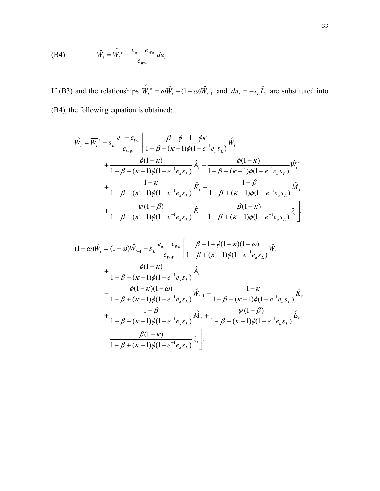$$
\text{(B4)} \hspace{1cm} \hat{W}_t = \frac{\hat{W}_t}{W_t} + \frac{e_u - e_{wu}}{e_{ww}} du_t \,.
$$

If (B3) and the relationships  $\hat{\overline{W}}_t^e = \omega \hat{W}_t + (1 - \omega) \hat{W}_{t-1}$  and  $d\overline{u}_t = -s_L \hat{L}_t$  are substituted into (B4), the following equation is obtained:

$$
\hat{W}_{t} = \overline{W}_{t}^{e} - s_{L} \frac{e_{u} - e_{Wu}}{e_{WW}} \left[ \frac{\beta + \phi - 1 - \phi \kappa}{1 - \beta + (\kappa - 1)\phi(1 - e^{-1}e_{u}s_{L})} \hat{W}_{t} \right. \\
\left. + \frac{\phi(1 - \kappa)}{1 - \beta + (\kappa - 1)\phi(1 - e^{-1}e_{u}s_{L})} \hat{A}_{t} - \frac{\phi(1 - \kappa)}{1 - \beta + (\kappa - 1)\phi(1 - e^{-1}e_{u}s_{L})} \hat{W}_{t}^{e} \right. \\
\left. + \frac{1 - \kappa}{1 - \beta + (\kappa - 1)\phi(1 - e^{-1}e_{u}s_{L})} \hat{K}_{t} + \frac{1 - \beta}{1 - \beta + (\kappa - 1)\phi(1 - e^{-1}e_{u}s_{L})} \hat{M}_{t} \right. \\
\left. + \frac{\psi(1 - \beta)}{1 - \beta + (\kappa - 1)\phi(1 - e^{-1}e_{u}s_{L})} \hat{E}_{t} - \frac{\beta(1 - \kappa)}{1 - \beta + (\kappa - 1)\phi(1 - e^{-1}e_{u}s_{L})} \hat{z}_{t} \right].
$$

$$
(1 - \omega)\hat{W}_t = (1 - \omega)\hat{W}_{t-1} - s_L \frac{e_u - e_{w_u}}{e_{ww}} \left[ \frac{\beta - 1 + \phi(1 - \kappa)(1 - \omega)}{1 - \beta + (\kappa - 1)\phi(1 - e^{-1}e_u s_L)} \hat{W}_t \right.+ \frac{\phi(1 - \kappa)}{1 - \beta + (\kappa - 1)\phi(1 - e^{-1}e_u s_L)} \hat{A}_t - \frac{\phi(1 - \kappa)(1 - \omega)}{1 - \beta + (\kappa - 1)\phi(1 - e^{-1}e_u s_L)} \hat{W}_{t-1} + \frac{1 - \kappa}{1 - \beta + (\kappa - 1)\phi(1 - e^{-1}e_u s_L)} \hat{K}_t + \frac{1 - \beta}{1 - \beta + (\kappa - 1)\phi(1 - e^{-1}e_u s_L)} \hat{M}_t + \frac{\psi(1 - \beta)}{1 - \beta + (\kappa - 1)\phi(1 - e^{-1}e_u s_L)} \hat{E}_t - \frac{\beta(1 - \kappa)}{1 - \beta + (\kappa - 1)\phi(1 - e^{-1}e_u s_L)} \hat{z}_t
$$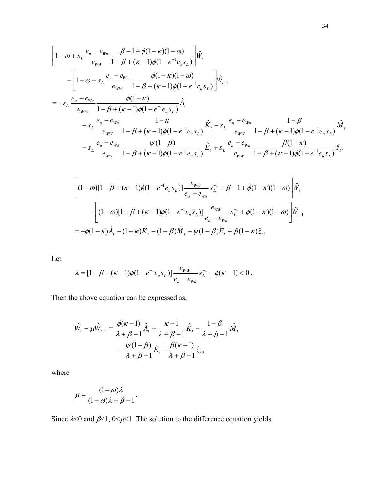$$
\left[1-\omega+s_{L}\frac{e_{u}-e_{w_{u}}}{e_{ww}}\frac{\beta-1+\phi(1-\kappa)(1-\omega)}{1-\beta+(\kappa-1)\phi(1-e^{-1}e_{u}s_{L})}\right]\hat{w}_{t}
$$
\n
$$
-\left[1-\omega+s_{L}\frac{e_{u}-e_{w_{u}}}{e_{ww}}\frac{\phi(1-\kappa)(1-\omega)}{1-\beta+(\kappa-1)\phi(1-e^{-1}e_{u}s_{L})}\right]\hat{w}_{t-1}
$$
\n
$$
=-s_{L}\frac{e_{u}-e_{w_{u}}}{e_{ww}}\frac{\phi(1-\kappa)}{1-\beta+(\kappa-1)\phi(1-e^{-1}e_{u}s_{L})}\hat{A}_{t}
$$
\n
$$
-s_{L}\frac{e_{u}-e_{w_{u}}}{e_{ww}}\frac{1-\kappa}{1-\beta+(\kappa-1)\phi(1-e^{-1}e_{u}s_{L})}\hat{K}_{t}-s_{L}\frac{e_{u}-e_{w_{u}}}{e_{ww}}\frac{1-\beta}{1-\beta+(\kappa-1)\phi(1-e^{-1}e_{u}s_{L})}\hat{M}_{t}
$$
\n
$$
-s_{L}\frac{e_{u}-e_{w_{u}}}{e_{ww}}\frac{\psi(1-\beta)}{1-\beta+(\kappa-1)\phi(1-e^{-1}e_{u}s_{L})}\hat{E}_{t}+s_{L}\frac{e_{u}-e_{w_{u}}}{e_{ww}}\frac{\beta(1-\kappa)}{1-\beta+(\kappa-1)\phi(1-e^{-1}e_{u}s_{L})}\hat{z}_{t}.
$$

$$
\begin{aligned}\n&\left[ (1-\omega)[1-\beta + (\kappa - 1)\phi(1 - e^{-1}e_u s_L)] \frac{e_{ww}}{e_u - e_{wu}} s_L^{-1} + \beta - 1 + \phi(1 - \kappa)(1 - \omega) \right] \hat{W}_t \\
&- \left[ (1-\omega)[1-\beta + (\kappa - 1)\phi(1 - e^{-1}e_u s_L)] \frac{e_{ww}}{e_u - e_{wu}} s_L^{-1} + \phi(1 - \kappa)(1 - \omega) \right] \hat{W}_{t-1} \\
&= -\phi(1 - \kappa)\hat{A}_t - (1 - \kappa)\hat{K}_t - (1 - \beta)\hat{M}_t - \psi(1 - \beta)\hat{E}_t + \beta(1 - \kappa)\hat{z}_t.\n\end{aligned}
$$

Let

$$
\lambda = [1 - \beta + (\kappa - 1)\phi(1 - e^{-1}e_{u} s_{L})] \frac{e_{ww}}{e_{u} - e_{w_{u}}} s_{L}^{-1} - \phi(\kappa - 1) < 0.
$$

Then the above equation can be expressed as,

$$
\hat{W}_t - \mu \hat{W}_{t-1} = \frac{\phi(\kappa - 1)}{\lambda + \beta - 1} \hat{A}_t + \frac{\kappa - 1}{\lambda + \beta - 1} \hat{K}_t - \frac{1 - \beta}{\lambda + \beta - 1} \hat{M}_t
$$

$$
- \frac{\psi(1 - \beta)}{\lambda + \beta - 1} \hat{E}_t - \frac{\beta(\kappa - 1)}{\lambda + \beta - 1} \hat{z}_t,
$$

where

$$
\mu = \frac{(1 - \omega)\lambda}{(1 - \omega)\lambda + \beta - 1}.
$$

Since  $\lambda$ <0 and  $\beta$ <1, 0< $\mu$ <1. The solution to the difference equation yields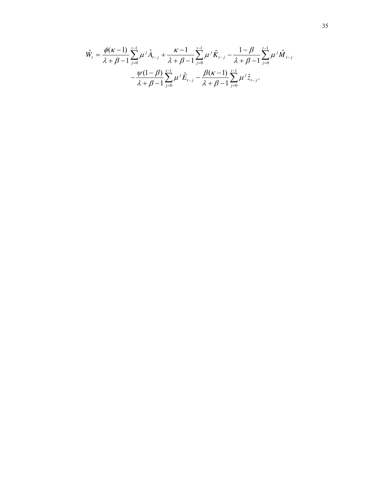$$
\hat{W}_{t} = \frac{\phi(\kappa - 1)}{\lambda + \beta - 1} \sum_{j=0}^{t-1} \mu^{j} \hat{A}_{t-j} + \frac{\kappa - 1}{\lambda + \beta - 1} \sum_{j=0}^{t-1} \mu^{j} \hat{K}_{t-j} - \frac{1 - \beta}{\lambda + \beta - 1} \sum_{j=0}^{t-1} \mu^{j} \hat{M}_{t-j} \n- \frac{\psi(1 - \beta)}{\lambda + \beta - 1} \sum_{j=0}^{t-1} \mu^{j} \hat{E}_{t-j} - \frac{\beta(\kappa - 1)}{\lambda + \beta - 1} \sum_{j=0}^{t-1} \mu^{j} \hat{z}_{t-j}.
$$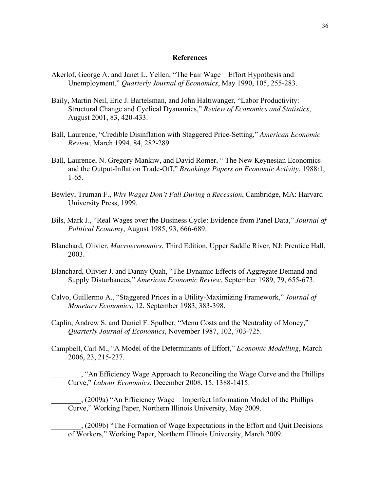#### **References**

- Akerlof, George A. and Janet L. Yellen, "The Fair Wage Effort Hypothesis and Unemployment," *Quarterly Journal of Economics*, May 1990, 105, 255-283.
- Baily, Martin Neil, Eric J. Bartelsman, and John Haltiwanger, "Labor Productivity: Structural Change and Cyclical Dyanamics," *Review of Economics and Statistics*, August 2001, 83, 420-433.
- Ball, Laurence, "Credible Disinflation with Staggered Price-Setting," *American Economic Review*, March 1994, 84, 282-289.
- Ball, Laurence, N. Gregory Mankiw, and David Romer, " The New Keynesian Economics and the Output-Inflation Trade-Off," *Brookings Papers on Economic Activity*, 1988:1, 1-65.
- Bewley, Truman F., *Why Wages Don't Fall During a Recession*, Cambridge, MA: Harvard University Press, 1999.
- Bils, Mark J., "Real Wages over the Business Cycle: Evidence from Panel Data," *Journal of Political Economy*, August 1985, 93, 666-689.
- Blanchard, Olivier, *Macroeconomics*, Third Edition, Upper Saddle River, NJ: Prentice Hall, 2003.
- Blanchard, Olivier J. and Danny Quah, "The Dynamic Effects of Aggregate Demand and Supply Disturbances," *American Economic Review*, September 1989, 79, 655-673.
- Calvo, Guillermo A., "Staggered Prices in a Utility-Maximizing Framework," *Journal of Monetary Economics*, 12, September 1983, 383-398.
- Caplin, Andrew S. and Daniel F. Spulber, "Menu Costs and the Neutrality of Money," *Quarterly Journal of Economics*, November 1987, 102, 703-725.
- Campbell, Carl M., "A Model of the Determinants of Effort," *Economic Modelling*, March 2006, 23, 215-237.

\_\_\_\_\_\_\_\_, "An Efficiency Wage Approach to Reconciling the Wage Curve and the Phillips Curve," *Labour Economics*, December 2008, 15, 1388-1415.

\_\_\_\_\_\_\_\_, (2009a) "An Efficiency Wage – Imperfect Information Model of the Phillips Curve," Working Paper, Northern Illinois University, May 2009.

\_\_\_\_\_\_\_\_, (2009b) "The Formation of Wage Expectations in the Effort and Quit Decisions of Workers," Working Paper, Northern Illinois University, March 2009.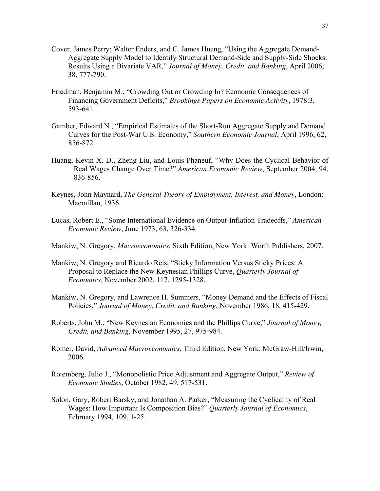- Cover, James Perry; Walter Enders, and C. James Hueng, "Using the Aggregate Demand-Aggregate Supply Model to Identify Structural Demand-Side and Supply-Side Shocks: Results Using a Bivariate VAR," *Journal of Money, Credit, and Banking*, April 2006, 38, 777-790.
- Friedman, Benjamin M., "Crowding Out or Crowding In? Economic Consequences of Financing Government Deficits," *Brookings Papers on Economic Activity*, 1978:3, 593-641.
- Gamber, Edward N., "Empirical Estimates of the Short-Run Aggregate Supply and Demand Curves for the Post-War U.S. Economy," *Southern Economic Journal*, April 1996, 62, 856-872.
- Huang, Kevin X. D., Zheng Liu, and Louis Phaneuf, "Why Does the Cyclical Behavior of Real Wages Change Over Time?" *American Economic Review*, September 2004, 94, 836-856.
- Keynes, John Maynard, *The General Theory of Employment, Interest, and Money*, London: Macmillan, 1936.
- Lucas, Robert E., "Some International Evidence on Output-Inflation Tradeoffs," *American Economic Review*, June 1973, 63, 326-334.
- Mankiw, N. Gregory, *Macroeconomics*, Sixth Edition, New York: Worth Publishers, 2007.
- Mankiw, N. Gregory and Ricardo Reis, "Sticky Information Versus Sticky Prices: A Proposal to Replace the New Keynesian Phillips Curve, *Quarterly Journal of Economics*, November 2002, 117, 1295-1328.
- Mankiw, N. Gregory, and Lawrence H. Summers, "Money Demand and the Effects of Fiscal Policies," *Journal of Money, Credit, and Banking*, November 1986, 18, 415-429.
- Roberts, John M., "New Keynesian Economics and the Phillips Curve," *Journal of Money, Credit, and Banking*, November 1995, 27, 975-984.
- Romer, David, *Advanced Macroeconomics*, Third Edition, New York: McGraw-Hill/Irwin, 2006.
- Rotemberg, Julio J., "Monopolistic Price Adjustment and Aggregate Output," *Review of Economic Studies*, October 1982, 49, 517-531.
- Solon, Gary, Robert Barsky, and Jonathan A. Parker, "Measuring the Cyclicality of Real Wages: How Important Is Composition Bias?" *Quarterly Journal of Economics*, February 1994, 109, 1-25.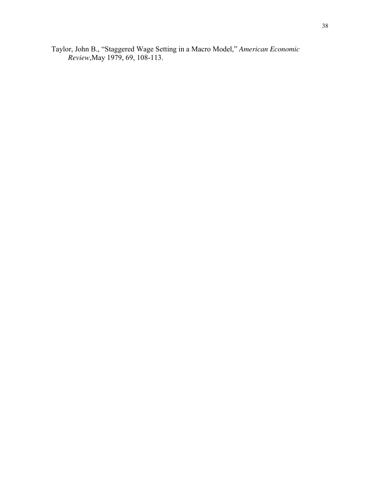Taylor, John B., "Staggered Wage Setting in a Macro Model," *American Economic Review*,May 1979, 69, 108-113.